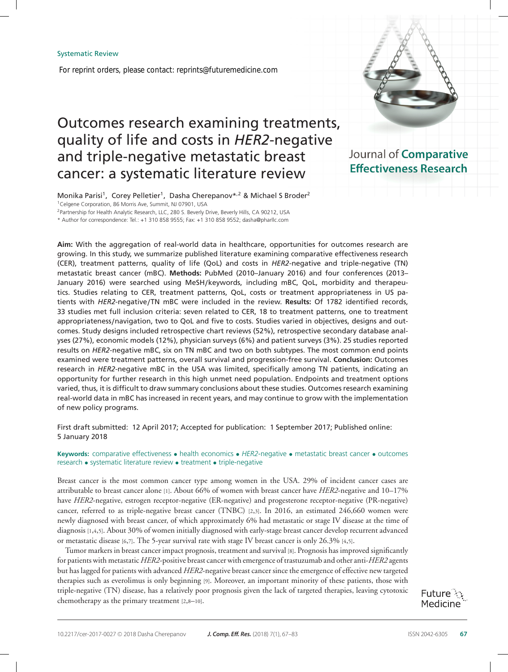*For reprint orders, please contact: reprints@futuremedicine.com*

# Outcomes research examining treatments, quality of life and costs in *HER2*-negative and triple-negative metastatic breast cancer: a systematic literature review

Journal of Comparative **Effectiveness Research** 

Monika Parisi<sup>1</sup>, Corey Pelletier<sup>1</sup>, Dasha Cherepanov<sup>\*,2</sup> & Michael S Broder<sup>2</sup> <sup>1</sup>Celgene Corporation, 86 Morris Ave, Summit, NJ 07901, USA

<sup>2</sup> Partnership for Health Analytic Research, LLC, 280 S. Beverly Drive, Beverly Hills, CA 90212, USA

\* Author for correspondence: Tel.: +1 310 858 9555; Fax: +1 310 858 9552; dasha@pharllc.com

**Aim:** With the aggregation of real-world data in healthcare, opportunities for outcomes research are growing. In this study, we summarize published literature examining comparative effectiveness research (CER), treatment patterns, quality of life (QoL) and costs in *HER2*-negative and triple-negative (TN) metastatic breast cancer (mBC). **Methods:** PubMed (2010–January 2016) and four conferences (2013– January 2016) were searched using MeSH**/**keywords, including mBC, QoL, morbidity and therapeutics. Studies relating to CER, treatment patterns, QoL, costs or treatment appropriateness in US patients with *HER2*-negative**/**TN mBC were included in the review. **Results:** Of 1782 identified records, 33 studies met full inclusion criteria: seven related to CER, 18 to treatment patterns, one to treatment appropriateness**/**navigation, two to QoL and five to costs. Studies varied in objectives, designs and outcomes. Study designs included retrospective chart reviews (52%), retrospective secondary database analyses (27%), economic models (12%), physician surveys (6%) and patient surveys (3%). 25 studies reported results on *HER2*-negative mBC, six on TN mBC and two on both subtypes. The most common end points examined were treatment patterns, overall survival and progression-free survival. **Conclusion:** Outcomes research in *HER2*-negative mBC in the USA was limited, specifically among TN patients, indicating an opportunity for further research in this high unmet need population. Endpoints and treatment options varied, thus, it is difficult to draw summary conclusions about these studies. Outcomes research examining real-world data in mBC has increased in recent years, and may continue to grow with the implementation of new policy programs.

First draft submitted: 12 April 2017; Accepted for publication: 1 September 2017; Published online: 5 January 2018

**Keywords:** comparative effectiveness • health economics • *HER2*-negative • metastatic breast cancer • outcomes research • systematic literature review • treatment • triple-negative

Breast cancer is the most common cancer type among women in the USA. 29% of incident cancer cases are attributable to breast cancer alone [1]. About 66% of women with breast cancer have *HER2*-negative and 10–17% have *HER2*-negative, estrogen receptor-negative (ER-negative) and progesterone receptor-negative (PR-negative) cancer, referred to as triple-negative breast cancer (TNBC) [2,3]. In 2016, an estimated 246,660 women were newly diagnosed with breast cancer, of which approximately 6% had metastatic or stage IV disease at the time of diagnosis [1,4,5]. About 30% of women initially diagnosed with early-stage breast cancer develop recurrent advanced or metastatic disease [6,7]. The 5-year survival rate with stage IV breast cancer is only 26.3% [4,5].

Tumor markers in breast cancer impact prognosis, treatment and survival [8]. Prognosis has improved significantly for patients with metastatic *HER2*-positive breast cancer with emergence of trastuzumab and other anti-*HER2* agents but has lagged for patients with advanced *HER2*-negative breast cancer since the emergence of effective new targeted therapies such as everolimus is only beginning [9]. Moreover, an important minority of these patients, those with triple-negative (TN) disease, has a relatively poor prognosis given the lack of targeted therapies, leaving cytotoxic chemotherapy as the primary treatment [2,8–10].

Future  $\mathbb{C}$ Medicine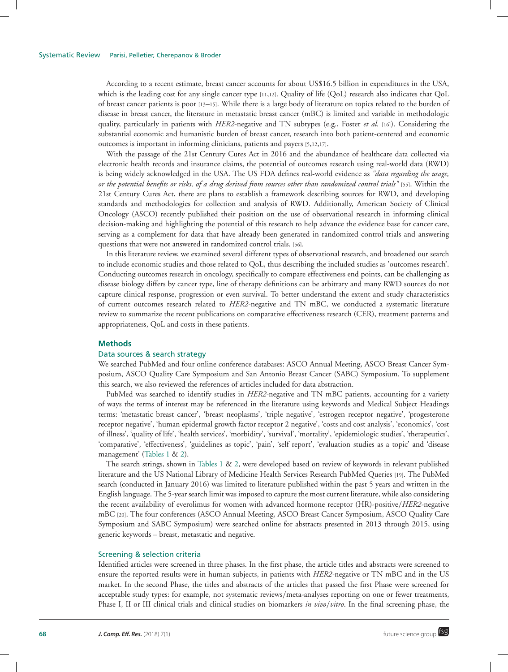According to a recent estimate, breast cancer accounts for about US\$16.5 billion in expenditures in the USA, which is the leading cost for any single cancer type [11,12]. Quality of life (QoL) research also indicates that QoL of breast cancer patients is poor [13–15]. While there is a large body of literature on topics related to the burden of disease in breast cancer, the literature in metastatic breast cancer (mBC) is limited and variable in methodologic quality, particularly in patients with *HER2*-negative and TN subtypes (e.g., Foster *et al.* [16]). Considering the substantial economic and humanistic burden of breast cancer, research into both patient-centered and economic outcomes is important in informing clinicians, patients and payers [5,12,17].

With the passage of the 21st Century Cures Act in 2016 and the abundance of healthcare data collected via electronic health records and insurance claims, the potential of outcomes research using real-world data (RWD) is being widely acknowledged in the USA. The US FDA defines real-world evidence as *"data regarding the usage, or the potential benefits or risks, of a drug derived from sources other than randomized control trials"* [55]. Within the 21st Century Cures Act, there are plans to establish a framework describing sources for RWD, and developing standards and methodologies for collection and analysis of RWD. Additionally, American Society of Clinical Oncology (ASCO) recently published their position on the use of observational research in informing clinical decision-making and highlighting the potential of this research to help advance the evidence base for cancer care, serving as a complement for data that have already been generated in randomized control trials and answering questions that were not answered in randomized control trials. [56].

In this literature review, we examined several different types of observational research, and broadened our search to include economic studies and those related to QoL, thus describing the included studies as 'outcomes research'. Conducting outcomes research in oncology, specifically to compare effectiveness end points, can be challenging as disease biology differs by cancer type, line of therapy definitions can be arbitrary and many RWD sources do not capture clinical response, progression or even survival. To better understand the extent and study characteristics of current outcomes research related to *HER2*-negative and TN mBC, we conducted a systematic literature review to summarize the recent publications on comparative effectiveness research (CER), treatment patterns and appropriateness, QoL and costs in these patients.

## **Methods**

# Data sources & search strategy

We searched PubMed and four online conference databases: ASCO Annual Meeting, ASCO Breast Cancer Symposium, ASCO Quality Care Symposium and San Antonio Breast Cancer (SABC) Symposium. To supplement this search, we also reviewed the references of articles included for data abstraction.

PubMed was searched to identify studies in *HER2*-negative and TN mBC patients, accounting for a variety of ways the terms of interest may be referenced in the literature using keywords and Medical Subject Headings terms: 'metastatic breast cancer', 'breast neoplasms', 'triple negative', 'estrogen receptor negative', 'progesterone receptor negative', 'human epidermal growth factor receptor 2 negative', 'costs and cost analysis', 'economics', 'cost of illness', 'quality of life', 'health services', 'morbidity', 'survival', 'mortality', 'epidemiologic studies', 'therapeutics', 'comparative', 'effectiveness', 'guidelines as topic', 'pain', 'self report', 'evaluation studies as a topic' and 'disease management' (Tables 1 & 2).

The search strings, shown in Tables 1 & 2, were developed based on review of keywords in relevant published literature and the US National Library of Medicine Health Services Research PubMed Queries [19]. The PubMed search (conducted in January 2016) was limited to literature published within the past 5 years and written in the English language. The 5-year search limit was imposed to capture the most current literature, while also considering the recent availability of everolimus for women with advanced hormone receptor (HR)-positive/*HER2*-negative mBC [20]. The four conferences (ASCO Annual Meeting, ASCO Breast Cancer Symposium, ASCO Quality Care Symposium and SABC Symposium) were searched online for abstracts presented in 2013 through 2015, using generic keywords – breast, metastatic and negative.

# Screening & selection criteria

Identified articles were screened in three phases. In the first phase, the article titles and abstracts were screened to ensure the reported results were in human subjects, in patients with *HER2*-negative or TN mBC and in the US market. In the second Phase, the titles and abstracts of the articles that passed the first Phase were screened for acceptable study types: for example, not systematic reviews/meta-analyses reporting on one or fewer treatments, Phase I, II or III clinical trials and clinical studies on biomarkers *in vivo*/*vitro*. In the final screening phase, the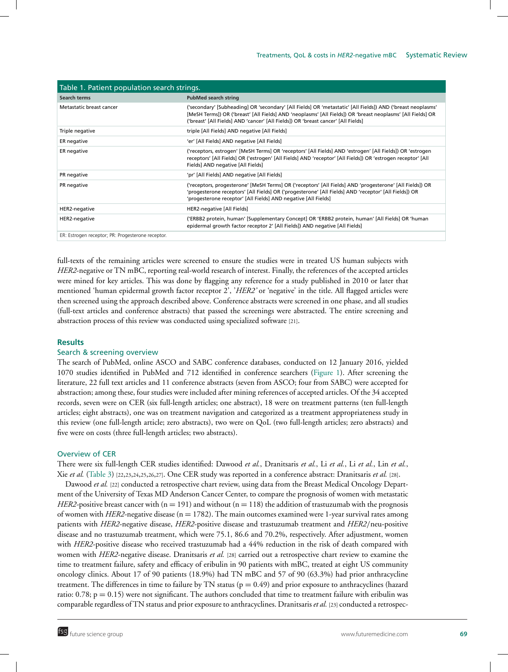| Table 1. Patient population search strings.       |                                                                                                                                                                                                                                                                                                                 |  |  |  |  |
|---------------------------------------------------|-----------------------------------------------------------------------------------------------------------------------------------------------------------------------------------------------------------------------------------------------------------------------------------------------------------------|--|--|--|--|
| Search terms                                      | <b>PubMed search string</b>                                                                                                                                                                                                                                                                                     |  |  |  |  |
| Metastatic breast cancer                          | ('secondary' [Subheading] OR 'secondary' [All Fields] OR 'metastatic' [All Fields]) AND ('breast neoplasms'<br>[MeSH Terms]) OR ('breast' [All Fields] AND 'neoplasms' [All Fields]) OR 'breast neoplasms' [All Fields] OR<br>('breast' [All Fields] AND 'cancer' [All Fields]) OR 'breast cancer' [All Fields] |  |  |  |  |
| Triple negative                                   | triple [All Fields] AND negative [All Fields]                                                                                                                                                                                                                                                                   |  |  |  |  |
| ER negative                                       | 'er' [All Fields] AND negative [All Fields]                                                                                                                                                                                                                                                                     |  |  |  |  |
| ER negative                                       | ('receptors, estrogen' [MeSH Terms] OR 'receptors' [All Fields] AND 'estrogen' [All Fields]) OR 'estrogen<br>receptors' [All Fields] OR ('estrogen' [All Fields] AND 'receptor' [All Fields]) OR 'estrogen receptor' [All<br>Fields] AND negative [All Fields]                                                  |  |  |  |  |
| PR negative                                       | 'pr' [All Fields] AND negative [All Fields]                                                                                                                                                                                                                                                                     |  |  |  |  |
| PR negative                                       | ('receptors, progesterone' [MeSH Terms] OR ('receptors' [All Fields] AND 'progesterone' [All Fields]) OR<br>'progesterone receptors' [All Fields] OR ('progesterone' [All Fields] AND 'receptor' [All Fields]) OR<br>'progesterone receptor' [All Fields] AND negative [All Fields]                             |  |  |  |  |
| HER2-negative                                     | HER2-negative [All Fields]                                                                                                                                                                                                                                                                                      |  |  |  |  |
| HER2-negative                                     | ('ERBB2 protein, human' [Supplementary Concept] OR 'ERBB2 protein, human' [All Fields] OR 'human<br>epidermal growth factor receptor 2' [All Fields]) AND negative [All Fields]                                                                                                                                 |  |  |  |  |
| ER: Estrogen receptor; PR: Progesterone receptor. |                                                                                                                                                                                                                                                                                                                 |  |  |  |  |

full-texts of the remaining articles were screened to ensure the studies were in treated US human subjects with *HER2*-negative or TN mBC, reporting real-world research of interest. Finally, the references of the accepted articles were mined for key articles. This was done by flagging any reference for a study published in 2010 or later that mentioned 'human epidermal growth factor receptor 2', '*HER2'* or 'negative' in the title. All flagged articles were then screened using the approach described above. Conference abstracts were screened in one phase, and all studies (full-text articles and conference abstracts) that passed the screenings were abstracted. The entire screening and abstraction process of this review was conducted using specialized software [21].

# **Results**

# Search & screening overview

The search of PubMed, online ASCO and SABC conference databases, conducted on 12 January 2016, yielded 1070 studies identified in PubMed and 712 identified in conference searchers (Figure 1). After screening the literature, 22 full text articles and 11 conference abstracts (seven from ASCO; four from SABC) were accepted for abstraction; among these, four studies were included after mining references of accepted articles. Of the 34 accepted records, seven were on CER (six full-length articles; one abstract), 18 were on treatment patterns (ten full-length articles; eight abstracts), one was on treatment navigation and categorized as a treatment appropriateness study in this review (one full-length article; zero abstracts), two were on QoL (two full-length articles; zero abstracts) and five were on costs (three full-length articles; two abstracts).

# Overview of CER

There were six full-length CER studies identified: Dawood *et al.*, Dranitsaris *et al.*, Li *et al.*, Li *et al.*, Lin *et al.*, Xie *et al.* (Table 3) [22,23,24,25,26,27]. One CER study was reported in a conference abstract: Dranitsaris *et al.* [28].

Dawood *et al.* [22] conducted a retrospective chart review, using data from the Breast Medical Oncology Department of the University of Texas MD Anderson Cancer Center, to compare the prognosis of women with metastatic *HER2*-positive breast cancer with  $(n = 191)$  and without  $(n = 118)$  the addition of trastuzumab with the prognosis of women with *HER2-*negative disease (n = 1782). The main outcomes examined were 1-year survival rates among patients with *HER2*-negative disease, *HER2*-positive disease and trastuzumab treatment and *HER2*/neu-positive disease and no trastuzumab treatment, which were 75.1, 86.6 and 70.2%, respectively. After adjustment, women with *HER2*-positive disease who received trastuzumab had a 44% reduction in the risk of death compared with women with *HER2*-negative disease. Dranitsaris *et al.* [28] carried out a retrospective chart review to examine the time to treatment failure, safety and efficacy of eribulin in 90 patients with mBC, treated at eight US community oncology clinics. About 17 of 90 patients (18.9%) had TN mBC and 57 of 90 (63.3%) had prior anthracycline treatment. The differences in time to failure by TN status ( $p = 0.49$ ) and prior exposure to anthracyclines (hazard ratio:  $0.78$ ;  $p = 0.15$ ) were not significant. The authors concluded that time to treatment failure with eribulin was comparable regardless of TN status and prior exposure to anthracyclines. Dranitsaris *et al.* [23] conducted a retrospec-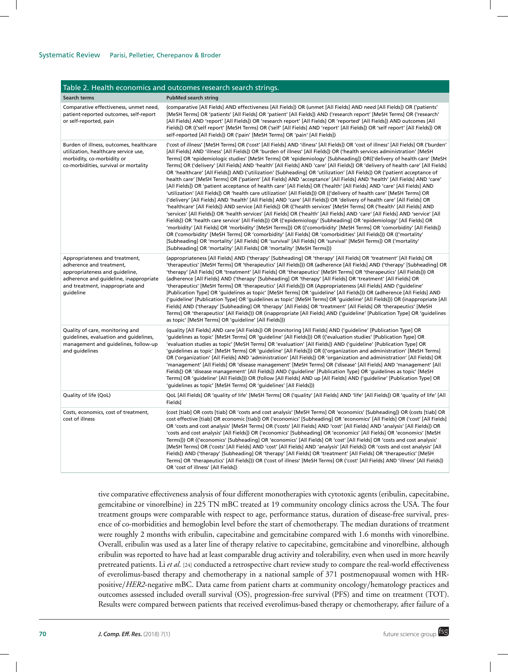| Table 2. Health economics and outcomes research search strings.                                                                                                                         |                                                                                                                                                                                                                                                                                                                                                                                                                                                                                                                                                                                                                                                                                                                                                                                                                                                                                                                                                                                                                                                                                                                                                                                                                                                                                                                                                                                                                                                                                                                                                                                                                                                                                                                                                                                                                                                                                                                                                                                             |  |  |  |  |  |
|-----------------------------------------------------------------------------------------------------------------------------------------------------------------------------------------|---------------------------------------------------------------------------------------------------------------------------------------------------------------------------------------------------------------------------------------------------------------------------------------------------------------------------------------------------------------------------------------------------------------------------------------------------------------------------------------------------------------------------------------------------------------------------------------------------------------------------------------------------------------------------------------------------------------------------------------------------------------------------------------------------------------------------------------------------------------------------------------------------------------------------------------------------------------------------------------------------------------------------------------------------------------------------------------------------------------------------------------------------------------------------------------------------------------------------------------------------------------------------------------------------------------------------------------------------------------------------------------------------------------------------------------------------------------------------------------------------------------------------------------------------------------------------------------------------------------------------------------------------------------------------------------------------------------------------------------------------------------------------------------------------------------------------------------------------------------------------------------------------------------------------------------------------------------------------------------------|--|--|--|--|--|
| <b>Search terms</b>                                                                                                                                                                     | <b>PubMed search string</b>                                                                                                                                                                                                                                                                                                                                                                                                                                                                                                                                                                                                                                                                                                                                                                                                                                                                                                                                                                                                                                                                                                                                                                                                                                                                                                                                                                                                                                                                                                                                                                                                                                                                                                                                                                                                                                                                                                                                                                 |  |  |  |  |  |
| Comparative effectiveness, unmet need,<br>patient-reported outcomes, self-report<br>or self-reported, pain                                                                              | (comparative [All Fields] AND effectiveness [All Fields]) OR (unmet [All Fields] AND need [All Fields]) OR ('patients'<br>[MeSH Terms] OR 'patients' [All Fields] OR 'patient' [All Fields]) AND ('research report' [MeSH Terms] OR ('research'<br>[All Fields] AND 'report' [All Fields]) OR 'research report' [All Fields] OR 'reported' [All Fields]) AND outcomes [All<br>Fields]) OR (('self report' [MeSH Terms] OR ('self' [All Fields] AND 'report' [All Fields]) OR 'self report' [All Fields]) OR<br>self-reported [All Fields]) OR ('pain' [MeSH Terms] OR 'pain' [All Fields])                                                                                                                                                                                                                                                                                                                                                                                                                                                                                                                                                                                                                                                                                                                                                                                                                                                                                                                                                                                                                                                                                                                                                                                                                                                                                                                                                                                                  |  |  |  |  |  |
| Burden of illness, outcomes, healthcare<br>utilization, healthcare service use,<br>morbidity, co-morbidity or<br>co-morbidities, survival or mortality                                  | ('cost of illness' [MeSH Terms] OR ('cost' [All Fields] AND 'illness' [All Fields]) OR 'cost of illness' [All Fields] OR ('burden'<br>[All Fields] AND 'illness' [All Fields]) OR 'burden of illness' [All Fields]) OR ('health services administration' [MeSH<br>Terms] OR 'epidemiologic studies' [MeSH Terms] OR 'epidemiology' [Subheading]) OR(('delivery of health care' [MeSH<br>Terms] OR ('delivery' [All Fields] AND 'health' [All Fields] AND 'care' [All Fields]) OR 'delivery of health care' [All Fields]<br>OR 'healthcare' [All Fields]) AND ('utilization' [Subheading] OR 'utilization' [All Fields]) OR ('patient acceptance of<br>health care' [MeSH Terms] OR ('patient' [All Fields] AND 'acceptance' [All Fields] AND 'health' [All Fields] AND 'care'<br>[All Fields]) OR 'patient acceptance of health care' [All Fields] OR ('health' [All Fields] AND 'care' [All Fields] AND<br>'utilization' [All Fields]) OR 'health care utilization' [All Fields])) OR (('delivery of health care' [MeSH Terms] OR<br>('delivery' [All Fields] AND 'health' [All Fields] AND 'care' [All Fields]) OR 'delivery of health care' [All Fields] OR<br>'healthcare' [All Fields]) AND service [All Fields]) OR (('health services' [MeSH Terms] OR ('health' [All Fields] AND<br>'services' [All Fields]) OR 'health services' [All Fields] OR ('health' [All Fields] AND 'care' [All Fields] AND 'service' [All<br>Fields]) OR 'health care service' [All Fields])) OR (('epidemiology' [Subheading] OR 'epidemiology' [All Fields] OR<br>'morbidity' [All Fields] OR 'morbidity' [MeSH Terms])) OR (('comorbidity' [MeSH Terms] OR 'comorbidity' [All Fields])<br>OR ('comorbidity' [MeSH Terms] OR 'comorbidity' [All Fields] OR 'comorbidities' [All Fields])) OR (('mortality'<br>[Subheading] OR 'mortality' [All Fields] OR 'survival' [All Fields] OR 'survival' [MeSH Terms]) OR ('mortality'<br>[Subheading] OR 'mortality' [All Fields] OR 'mortality' [MeSH Terms])) |  |  |  |  |  |
| Appropriateness and treatment,<br>adherence and treatment,<br>appropriateness and quideline,<br>adherence and guideline, inappropriate<br>and treatment, inappropriate and<br>guideline | (appropriateness [All Fields] AND ('therapy' [Subheading] OR 'therapy' [All Fields] OR 'treatment' [All Fields] OR<br>'therapeutics' [MeSH Terms] OR 'therapeutics' [All Fields])) OR (adherence [All Fields] AND ('therapy' [Subheading] OR<br>'therapy' [All Fields] OR 'treatment' [All Fields] OR 'therapeutics' [MeSH Terms] OR 'therapeutics' [All Fields])) OR<br>(adherence [All Fields] AND ('therapy' [Subheading] OR 'therapy' [All Fields] OR 'treatment' [All Fields] OR<br>'therapeutics' [MeSH Terms] OR 'therapeutics' [All Fields])) OR (Appropriateness [All Fields] AND ('guideline'<br>[Publication Type] OR 'guidelines as topic' [MeSH Terms] OR 'guideline' [All Fields])) OR (adherence [All Fields] AND<br>('quideline' [Publication Type] OR 'guidelines as topic' [MeSH Terms] OR 'guideline' [All Fields])) OR (inappropriate [All<br>Fields] AND ('therapy' [Subheading] OR 'therapy' [All Fields] OR 'treatment' [All Fields] OR 'therapeutics' [MeSH<br>Terms] OR 'therapeutics' [All Fields])) OR (inappropriate [All Fields] AND ('guideline' [Publication Type] OR 'guidelines<br>as topic' [MeSH Terms] OR 'guideline' [All Fields]))                                                                                                                                                                                                                                                                                                                                                                                                                                                                                                                                                                                                                                                                                                                                                                                                                    |  |  |  |  |  |
| Quality of care, monitoring and<br>guidelines, evaluation and guidelines,<br>management and quidelines, follow-up<br>and guidelines                                                     | (quality [All Fields] AND care [All Fields]) OR (monitoring [All Fields] AND ('guideline' [Publication Type] OR<br>'guidelines as topic' [MeSH Terms] OR 'guideline' [All Fields])) OR (('evaluation studies' [Publication Type] OR<br>'evaluation studies as topic' [MeSH Terms] OR 'evaluation' [All Fields]) AND ('quideline' [Publication Type] OR<br>'quidelines as topic' [MeSH Terms] OR 'quideline' [All Fields])) OR (('organization and administration' [MeSH Terms]<br>OR ('organization' [All Fields] AND 'administration' [All Fields]) OR 'organization and administration' [All Fields] OR<br>'management' [All Fields] OR 'disease management' [MeSH Terms] OR ('disease' [All Fields] AND 'management' [All<br>Fields]) OR 'disease management' [All Fields]) AND ('quideline' [Publication Type] OR 'quidelines as topic' [MeSH<br>Terms] OR 'guideline' [All Fields])) OR (follow [All Fields] AND up [All Fields] AND ('guideline' [Publication Type] OR<br>'quidelines as topic' [MeSH Terms] OR 'quidelines' [All Fields]))                                                                                                                                                                                                                                                                                                                                                                                                                                                                                                                                                                                                                                                                                                                                                                                                                                                                                                                                           |  |  |  |  |  |
| Quality of life (QoL)                                                                                                                                                                   | QoL [All Fields] OR 'quality of life' [MeSH Terms] OR ('quality' [All Fields] AND 'life' [All Fields]) OR 'quality of life' [All<br>Fields]                                                                                                                                                                                                                                                                                                                                                                                                                                                                                                                                                                                                                                                                                                                                                                                                                                                                                                                                                                                                                                                                                                                                                                                                                                                                                                                                                                                                                                                                                                                                                                                                                                                                                                                                                                                                                                                 |  |  |  |  |  |
| Costs, economics, cost of treatment,<br>cost of illness                                                                                                                                 | (cost [tiab] OR costs [tiab] OR 'costs and cost analysis' [MeSH Terms] OR 'economics' [Subheading]) OR (costs [tiab] OR<br>cost effective [tiab] OR economic [tiab]) OR ('economics' [Subheading] OR 'economics' [All Fields] OR ('cost' [All Fields]<br>OR 'costs and cost analysis' [MeSH Terms] OR ('costs' [All Fields] AND 'cost' [All Fields] AND 'analysis' [All Fields]) OR<br>'costs and cost analysis' [All Fields]) OR ('economics' [Subheading] OR 'economics' [All Fields] OR 'economics' [MeSH<br>Terms])) OR (('economics' [Subheading] OR 'economics' [All Fields] OR 'cost' [All Fields] OR 'costs and cost analysis'<br>[MeSH Terms] OR ('costs' [All Fields] AND 'cost' [All Fields] AND 'analysis' [All Fields]) OR 'costs and cost analysis' [All<br>Fields]) AND ('therapy' [Subheading] OR 'therapy' [All Fields] OR 'treatment' [All Fields] OR 'therapeutics' [MeSH<br>Terms] OR 'therapeutics' [All Fields])) OR ('cost of illness' [MeSH Terms] OR ('cost' [All Fields] AND 'illness' [All Fields])<br>OR 'cost of illness' [All Fields])                                                                                                                                                                                                                                                                                                                                                                                                                                                                                                                                                                                                                                                                                                                                                                                                                                                                                                                        |  |  |  |  |  |

tive comparative effectiveness analysis of four different monotherapies with cytotoxic agents (eribulin, capecitabine, gemcitabine or vinorelbine) in 225 TN mBC treated at 19 community oncology clinics across the USA. The four treatment groups were comparable with respect to age, performance status, duration of disease-free survival, presence of co-morbidities and hemoglobin level before the start of chemotherapy. The median durations of treatment were roughly 2 months with eribulin, capecitabine and gemcitabine compared with 1.6 months with vinorelbine. Overall, eribulin was used as a later line of therapy relative to capecitabine, gemcitabine and vinorelbine, although eribulin was reported to have had at least comparable drug activity and tolerability, even when used in more heavily pretreated patients. Li *et al.* [24] conducted a retrospective chart review study to compare the real-world effectiveness of everolimus-based therapy and chemotherapy in a national sample of 371 postmenopausal women with HRpositive/*HER2*-negative mBC. Data came from patient charts at community oncology/hematology practices and outcomes assessed included overall survival (OS), progression-free survival (PFS) and time on treatment (TOT). Results were compared between patients that received everolimus-based therapy or chemotherapy, after failure of a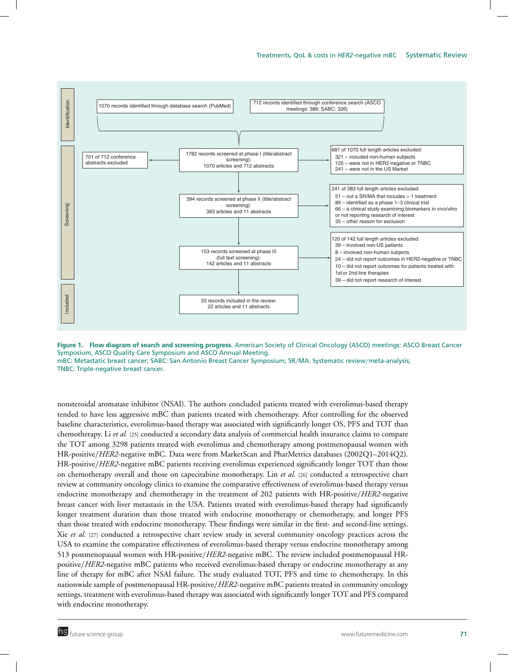

**Figure 1. Flow diagram of search and screening progress.** American Society of Clinical Oncology (ASCO) meetings: ASCO Breast Cancer Symposium, ASCO Quality Care Symposium and ASCO Annual Meeting. mBC: Metastatic breast cancer; SABC: San Antonio Breast Cancer Symposium; SR/MA: Systematic review/meta-analysis; TNBC: Triple-negative breast cancer.

nonsteroidal aromatase inhibitor (NSAI). The authors concluded patients treated with everolimus-based therapy tended to have less aggressive mBC than patients treated with chemotherapy. After controlling for the observed baseline characteristics, everolimus-based therapy was associated with significantly longer OS, PFS and TOT than chemotherapy. Li *et al.* [25] conducted a secondary data analysis of commercial health insurance claims to compare the TOT among 3298 patients treated with everolimus and chemotherapy among postmenopausal women with HR-positive/*HER2*-negative mBC. Data were from MarketScan and PharMetrics databases (2002Q1–2014Q2). HR-positive/*HER2*-negative mBC patients receiving everolimus experienced significantly longer TOT than those on chemotherapy overall and those on capecitabine monotherapy. Lin *et al.* [26] conducted a retrospective chart review at community oncology clinics to examine the comparative effectiveness of everolimus-based therapy versus endocrine monotherapy and chemotherapy in the treatment of 202 patients with HR-positive/*HER2-*negative breast cancer with liver metastasis in the USA. Patients treated with everolimus-based therapy had significantly longer treatment duration than those treated with endocrine monotherapy or chemotherapy, and longer PFS than those treated with endocrine monotherapy. These findings were similar in the first- and second-line settings. Xie *et al.* [27] conducted a retrospective chart review study in several community oncology practices across the USA to examine the comparative effectiveness of everolimus-based therapy versus endocrine monotherapy among 513 postmenopausal women with HR-positive/*HER2*-negative mBC. The review included postmenopausal HRpositive/*HER2*-negative mBC patients who received everolimus-based therapy or endocrine monotherapy as any line of therapy for mBC after NSAI failure. The study evaluated TOT, PFS and time to chemotherapy. In this nationwide sample of postmenopausal HR-positive/*HER2*-negative mBC patients treated in community oncology settings, treatment with everolimus-based therapy was associated with significantly longer TOT and PFS compared with endocrine monotherapy.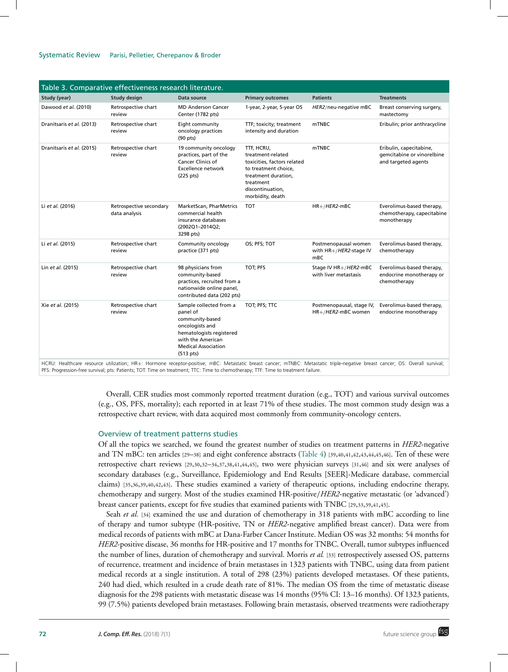#### Systematic Review Parisi, Pelletier, Cherepanov & Broder

| Table 3. Comparative effectiveness research literature. |                                          |                                                                                                                                                                                 |                                                                                                                                                                    |                                                                   |                                                                                                                                                                                                                                    |  |
|---------------------------------------------------------|------------------------------------------|---------------------------------------------------------------------------------------------------------------------------------------------------------------------------------|--------------------------------------------------------------------------------------------------------------------------------------------------------------------|-------------------------------------------------------------------|------------------------------------------------------------------------------------------------------------------------------------------------------------------------------------------------------------------------------------|--|
| <b>Study (year)</b>                                     | <b>Study design</b>                      | Data source                                                                                                                                                                     | <b>Primary outcomes</b>                                                                                                                                            | <b>Patients</b>                                                   | <b>Treatments</b>                                                                                                                                                                                                                  |  |
| Dawood et al. (2010)                                    | Retrospective chart<br>review            | <b>MD Anderson Cancer</b><br>Center (1782 pts)                                                                                                                                  | 1-year, 2-year, 5-year OS                                                                                                                                          | HER2/neu-negative mBC                                             | Breast conserving surgery,<br>mastectomy                                                                                                                                                                                           |  |
| Dranitsaris et al. (2013)                               | Retrospective chart<br>review            | Eight community<br>oncology practices<br>$(90 \text{ pts})$                                                                                                                     | TTF; toxicity; treatment<br>intensity and duration                                                                                                                 | <b>mTNBC</b>                                                      | Eribulin; prior anthracycline                                                                                                                                                                                                      |  |
| Dranitsaris et al. (2015)                               | Retrospective chart<br>review            | 19 community oncology<br>practices, part of the<br>Cancer Clinics of<br><b>Excellence network</b><br>$(225 \text{ pts})$                                                        | TTF, HCRU,<br>treatment-related<br>toxicities, factors related<br>to treatment choice,<br>treatment duration,<br>treatment<br>discontinuation,<br>morbidity, death | mTNBC                                                             | Eribulin, capecitabine,<br>gemcitabine or vinorelbine<br>and targeted agents                                                                                                                                                       |  |
| Li et al. (2016)                                        | Retrospective secondary<br>data analysis | MarketScan, PharMetrics<br>commercial health<br>insurance databases<br>(2002Q1-2014Q2;<br>3298 pts)                                                                             | <b>TOT</b>                                                                                                                                                         | $HR+/HER2-mBC$                                                    | Everolimus-based therapy,<br>chemotherapy, capecitabine<br>monotherapy                                                                                                                                                             |  |
| Li et al. (2015)                                        | Retrospective chart<br>review            | Community oncology<br>practice (371 pts)                                                                                                                                        | OS; PFS; TOT                                                                                                                                                       | Postmenopausal women<br>with HR+/HER2-stage IV<br>m <sub>BC</sub> | Everolimus-based therapy,<br>chemotherapy                                                                                                                                                                                          |  |
| Lin et al. (2015)                                       | Retrospective chart<br>review            | 98 physicians from<br>community-based<br>practices, recruited from a<br>nationwide online panel,<br>contributed data (202 pts)                                                  | TOT; PFS                                                                                                                                                           | Stage IV HR+/HER2-mBC<br>with liver metastasis                    | Everolimus-based therapy,<br>endocrine monotherapy or<br>chemotherapy                                                                                                                                                              |  |
| Xie et al. (2015)                                       | Retrospective chart<br>review            | Sample collected from a<br>panel of<br>community-based<br>oncologists and<br>hematologists registered<br>with the American<br><b>Medical Association</b><br>$(513 \text{ pts})$ | TOT; PFS; TTC                                                                                                                                                      | Postmenopausal, stage IV,<br>HR+/HER2-mBC women                   | Everolimus-based therapy,<br>endocrine monotherapy<br>HCRU: Healthcare resource utilization: HR+: Hormone receptor-positive: mRC: Metastatic breast cancer: mTNRC: Metastatic triple-penative breast cancer: OS: Qverall survival: |  |

HCRU: Healthcare resource utilization; HR+: Hormone receptor-positive; mBC: Metastatic breast cancer; mTNBC: Metastatic triple-negative breast cancer; OS: Overall survival;<br>PFS: Progression-free survival; pts: Patients; TO

Overall, CER studies most commonly reported treatment duration (e.g., TOT) and various survival outcomes (e.g., OS, PFS, mortality); each reported in at least 71% of these studies. The most common study design was a retrospective chart review, with data acquired most commonly from community-oncology centers.

# Overview of treatment patterns studies

Of all the topics we searched, we found the greatest number of studies on treatment patterns in *HER2*-negative and TN mBC: ten articles [29–38] and eight conference abstracts (Table 4) [39,40,41,42,43,44,45,46]. Ten of these were retrospective chart reviews [29,30,32–34,37,38,41,44,45], two were physician surveys [31,46] and six were analyses of secondary databases (e.g., Surveillance, Epidemiology and End Results [SEER]-Medicare database, commercial claims) [35,36,39,40,42,43]. These studies examined a variety of therapeutic options, including endocrine therapy, chemotherapy and surgery. Most of the studies examined HR-positive/*HER2*-negative metastatic (or 'advanced') breast cancer patients, except for five studies that examined patients with TNBC [29,33,39,41,45].

Seah *et al.* [34] examined the use and duration of chemotherapy in 318 patients with mBC according to line of therapy and tumor subtype (HR-positive, TN or *HER2*-negative amplified breast cancer). Data were from medical records of patients with mBC at Dana-Farber Cancer Institute. Median OS was 32 months: 54 months for *HER2*-positive disease, 36 months for HR-positive and 17 months for TNBC. Overall, tumor subtypes influenced the number of lines, duration of chemotherapy and survival. Morris *et al.* [33] retrospectively assessed OS, patterns of recurrence, treatment and incidence of brain metastases in 1323 patients with TNBC, using data from patient medical records at a single institution. A total of 298 (23%) patients developed metastases. Of these patients, 240 had died, which resulted in a crude death rate of 81%. The median OS from the time of metastatic disease diagnosis for the 298 patients with metastatic disease was 14 months (95% CI: 13–16 months). Of 1323 patients, 99 (7.5%) patients developed brain metastases. Following brain metastasis, observed treatments were radiotherapy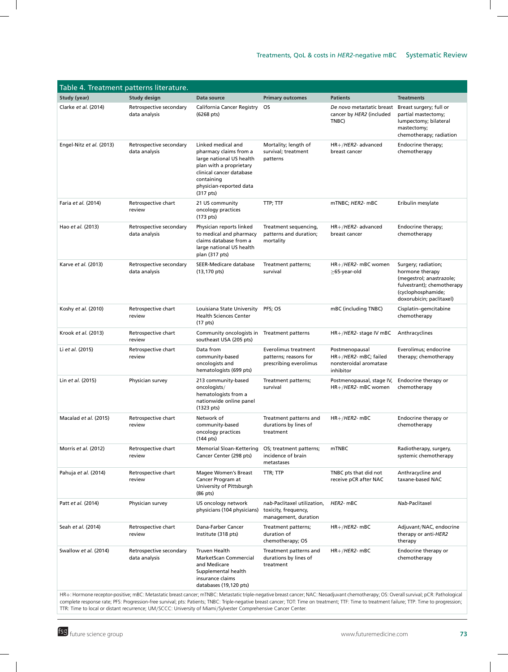|                                                                                                                                                                                               | Table 4. Treatment patterns literature.                                                                                                                                                |                                                                                                                                                                                                   |                                                                             |                                                                                     |                                                                                                                                                    |
|-----------------------------------------------------------------------------------------------------------------------------------------------------------------------------------------------|----------------------------------------------------------------------------------------------------------------------------------------------------------------------------------------|---------------------------------------------------------------------------------------------------------------------------------------------------------------------------------------------------|-----------------------------------------------------------------------------|-------------------------------------------------------------------------------------|----------------------------------------------------------------------------------------------------------------------------------------------------|
| Study (year)                                                                                                                                                                                  | <b>Study design</b>                                                                                                                                                                    | Data source                                                                                                                                                                                       | <b>Primary outcomes</b>                                                     | <b>Patients</b>                                                                     | <b>Treatments</b>                                                                                                                                  |
| Clarke et al. (2014)                                                                                                                                                                          | Retrospective secondary<br>data analysis                                                                                                                                               | California Cancer Registry<br>(6268 pts)                                                                                                                                                          | OS.                                                                         | De novo metastatic breast<br>cancer by HER2 (included<br>TNBC)                      | Breast surgery; full or<br>partial mastectomy;<br>lumpectomy; bilateral<br>mastectomy;<br>chemotherapy; radiation                                  |
| Engel-Nitz et al. (2013)                                                                                                                                                                      | Retrospective secondary<br>data analysis                                                                                                                                               | Linked medical and<br>pharmacy claims from a<br>large national US health<br>plan with a proprietary<br>clinical cancer database<br>containing<br>physician-reported data<br>(317 <sub>pts</sub> ) | Mortality; length of<br>survival; treatment<br>patterns                     | $HR+/HER2$ - advanced<br>breast cancer                                              | Endocrine therapy;<br>chemotherapy                                                                                                                 |
| Faria et al. (2014)                                                                                                                                                                           | Retrospective chart<br>review                                                                                                                                                          | 21 US community<br>oncology practices<br>(173 pts)                                                                                                                                                | TTP; TTF                                                                    | mTNBC; HER2- mBC                                                                    | Eribulin mesylate                                                                                                                                  |
| Hao et al. (2013)                                                                                                                                                                             | Retrospective secondary<br>data analysis                                                                                                                                               | Physician reports linked<br>to medical and pharmacy<br>claims database from a<br>large national US health<br>plan (317 pts)                                                                       | Treatment sequencing,<br>patterns and duration;<br>mortality                | $HR+/HER2$ - advanced<br>breast cancer                                              | Endocrine therapy;<br>chemotherapy                                                                                                                 |
| Karve et al. (2013)                                                                                                                                                                           | Retrospective secondary<br>data analysis                                                                                                                                               | SEER-Medicare database<br>$(13, 170 \text{ pts})$                                                                                                                                                 | Treatment patterns;<br>survival                                             | $HR+ / HER2$ - mBC women<br>$\geq$ 65-year-old                                      | Surgery; radiation;<br>hormone therapy<br>(megestrol; anastrazole;<br>fulvestrant); chemotherapy<br>(cyclophosphamide;<br>doxorubicin; paclitaxel) |
| Koshy et al. (2010)                                                                                                                                                                           | Retrospective chart<br>review                                                                                                                                                          | Louisiana State University<br><b>Health Sciences Center</b><br>(17 <sub>pts</sub> )                                                                                                               | PFS; OS                                                                     | mBC (including TNBC)                                                                | Cisplatin-gemcitabine<br>chemotherapy                                                                                                              |
| Krook et al. (2013)                                                                                                                                                                           | Retrospective chart<br>review                                                                                                                                                          | Community oncologists in Treatment patterns<br>southeast USA (205 pts)                                                                                                                            |                                                                             | $HR+ / HER2$ - stage IV mBC                                                         | Anthracyclines                                                                                                                                     |
| Li et al. (2015)                                                                                                                                                                              | Retrospective chart<br>review                                                                                                                                                          | Data from<br>community-based<br>oncologists and<br>hematologists (699 pts)                                                                                                                        | Everolimus treatment<br>patterns; reasons for<br>prescribing everolimus     | Postmenopausal<br>$HR+ / HER2$ - mBC; failed<br>nonsteroidal aromatase<br>inhibitor | Everolimus; endocrine<br>therapy; chemotherapy                                                                                                     |
| Lin et al. (2015)                                                                                                                                                                             | Physician survey                                                                                                                                                                       | 213 community-based<br>oncologists/<br>hematologists from a<br>nationwide online panel<br>$(1323 \text{ pts})$                                                                                    | Treatment patterns;<br>survival                                             | Postmenopausal, stage IV,<br>HR+/HER2- mBC women                                    | Endocrine therapy or<br>chemotherapy                                                                                                               |
| Macalad et al. (2015)                                                                                                                                                                         | Retrospective chart<br>review                                                                                                                                                          | Network of<br>community-based<br>oncology practices<br>(144 pts)                                                                                                                                  | Treatment patterns and<br>durations by lines of<br>treatment                | $HR+/HER2$ - mBC                                                                    | Endocrine therapy or<br>chemotherapy                                                                                                               |
| Morris et al. (2012)                                                                                                                                                                          | Retrospective chart<br>review                                                                                                                                                          | <b>Memorial Sloan-Kettering</b><br>Cancer Center (298 pts)                                                                                                                                        | OS; treatment patterns;<br>incidence of brain<br>metastases                 | mTNBC                                                                               | Radiotherapy, surgery,<br>systemic chemotherapy                                                                                                    |
| Pahuja et al. (2014)                                                                                                                                                                          | Retrospective chart<br>review                                                                                                                                                          | <b>Magee Women's Breast</b><br>Cancer Program at<br>University of Pittsburgh<br>(86 pts)                                                                                                          | TTR; TTP                                                                    | TNBC pts that did not<br>receive pCR after NAC                                      | Anthracycline and<br>taxane-based NAC                                                                                                              |
| Patt et al. (2014)                                                                                                                                                                            | Physician survey                                                                                                                                                                       | US oncology network<br>physicians (104 physicians)                                                                                                                                                | nab-Paclitaxel utilization,<br>toxicity, frequency,<br>management, duration | HER2- mBC                                                                           | Nab-Paclitaxel                                                                                                                                     |
| Seah et al. (2014)                                                                                                                                                                            | Retrospective chart<br>review                                                                                                                                                          | Dana-Farber Cancer<br>Institute (318 pts)                                                                                                                                                         | Treatment patterns;<br>duration of<br>chemotherapy; OS                      | $HR+ / HER2$ - mBC                                                                  | Adjuvant/NAC, endocrine<br>therapy or anti-HER2<br>therapy                                                                                         |
| Swallow et al. (2014)                                                                                                                                                                         | Retrospective secondary<br>data analysis                                                                                                                                               | Truven Health<br>MarketScan Commercial<br>and Medicare<br>Supplemental health<br>insurance claims<br>databases (19,120 pts)                                                                       | Treatment patterns and<br>durations by lines of<br>treatment                | $HR+/HER2$ - mBC                                                                    | Endocrine therapy or<br>chemotherapy                                                                                                               |
| complete response rate; PFS: Progression-free survival; pts: Patients; TNBC: Triple-negative breast cancer; TOT: Time on treatment; TTF: Time to treatment failure; TTP: Time to progression; | HR+: Hormone receptor-positive; mBC: Metastatic breast cancer; mTNBC: Metastatic triple-negative breast cancer; NAC: Neoadjuvant chemotherapy; OS: Overall survival; pCR: Pathological |                                                                                                                                                                                                   |                                                                             |                                                                                     |                                                                                                                                                    |

TTR: Time to local or distant recurrence; UM/SCCC: University of Miami/Sylvester Comprehensive Cancer Center.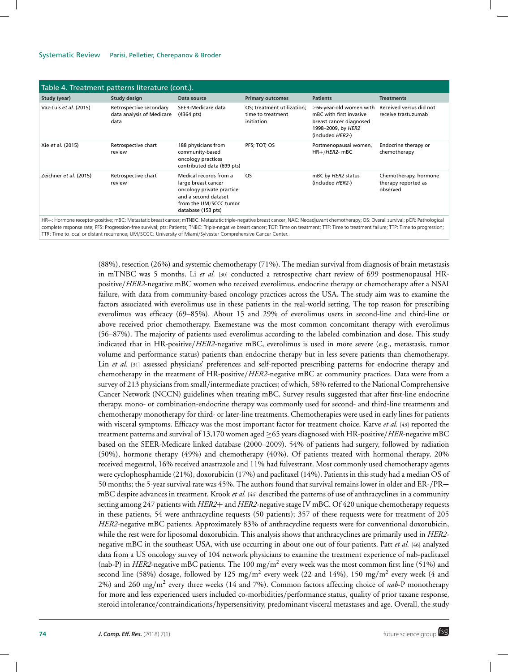| Table 4. Treatment patterns literature (cont.).                                                                                                                                                                                                                                                                                                                                                                          |                                                              |                                                                                                                                                    |                                                               |                                                                                                                         |                                                          |  |
|--------------------------------------------------------------------------------------------------------------------------------------------------------------------------------------------------------------------------------------------------------------------------------------------------------------------------------------------------------------------------------------------------------------------------|--------------------------------------------------------------|----------------------------------------------------------------------------------------------------------------------------------------------------|---------------------------------------------------------------|-------------------------------------------------------------------------------------------------------------------------|----------------------------------------------------------|--|
| Study (year)                                                                                                                                                                                                                                                                                                                                                                                                             | Study design                                                 | Data source                                                                                                                                        | <b>Primary outcomes</b>                                       | <b>Patients</b>                                                                                                         | <b>Treatments</b>                                        |  |
| Vaz-Luis et al. (2015)                                                                                                                                                                                                                                                                                                                                                                                                   | Retrospective secondary<br>data analysis of Medicare<br>data | SEER-Medicare data<br>$(4364 \text{ pts})$                                                                                                         | OS; treatment utilization;<br>time to treatment<br>initiation | >66-year-old women with<br>mBC with first invasive<br>breast cancer diagnosed<br>1998-2009, by HER2<br>(included HER2-) | Received versus did not<br>receive trastuzumab           |  |
| Xie et al. (2015)                                                                                                                                                                                                                                                                                                                                                                                                        | Retrospective chart<br>review                                | 188 physicians from<br>community-based<br>oncology practices<br>contributed data (699 pts)                                                         | PFS; TOT; OS                                                  | Postmenopausal women,<br>$HR+ / HER2$ - mBC                                                                             | Endocrine therapy or<br>chemotherapy                     |  |
| Zeichner et al. (2015)                                                                                                                                                                                                                                                                                                                                                                                                   | Retrospective chart<br>review                                | Medical records from a<br>large breast cancer<br>oncology private practice<br>and a second dataset<br>from the UM/SCCC tumor<br>database (153 pts) | <b>OS</b>                                                     | mBC by HER2 status<br>(included HER2-)                                                                                  | Chemotherapy, hormone<br>therapy reported as<br>observed |  |
| HR+: Hormone receptor-positive; mBC: Metastatic breast cancer; mTNBC: Metastatic triple-negative breast cancer; NAC: Neoadjuvant chemotherapy; OS: Overall survival; pCR: Pathological<br>the formulation of the company of the company of the company of the company of the company of the company of the company of the company of the company of the company of the company of the company of the company of the comp |                                                              |                                                                                                                                                    |                                                               |                                                                                                                         |                                                          |  |

HR+: Hormone receptor-positive; mBC: Metastatic breast cancer; mTNBC: Metastatic triple-negative breast cancer; NAC: Neoadjuvant chemotherapy; OS: Overall survival; pCR: Pathological<br>complete response rate; PFS: Progressio TTR: Time to local or distant recurrence; UM/SCCC: University of Miami/Sylvester Comprehensive Cancer Center.

> (88%), resection (26%) and systemic chemotherapy (71%). The median survival from diagnosis of brain metastasis in mTNBC was 5 months. Li *et al.* [30] conducted a retrospective chart review of 699 postmenopausal HRpositive/*HER2*-negative mBC women who received everolimus, endocrine therapy or chemotherapy after a NSAI failure, with data from community-based oncology practices across the USA. The study aim was to examine the factors associated with everolimus use in these patients in the real-world setting. The top reason for prescribing everolimus was efficacy (69–85%). About 15 and 29% of everolimus users in second-line and third-line or above received prior chemotherapy. Exemestane was the most common concomitant therapy with everolimus (56–87%). The majority of patients used everolimus according to the labeled combination and dose. This study indicated that in HR-positive/*HER2*-negative mBC, everolimus is used in more severe (e.g., metastasis, tumor volume and performance status) patients than endocrine therapy but in less severe patients than chemotherapy. Lin *et al.* [31] assessed physicians' preferences and self-reported prescribing patterns for endocrine therapy and chemotherapy in the treatment of HR-positive/*HER2*-negative mBC at community practices. Data were from a survey of 213 physicians from small/intermediate practices; of which, 58% referred to the National Comprehensive Cancer Network (NCCN) guidelines when treating mBC. Survey results suggested that after first-line endocrine therapy, mono- or combination-endocrine therapy was commonly used for second- and third-line treatments and chemotherapy monotherapy for third- or later-line treatments. Chemotherapies were used in early lines for patients with visceral symptoms. Efficacy was the most important factor for treatment choice. Karve *et al.* [43] reported the treatment patterns and survival of 13,170 women aged ≥65 years diagnosed with HR-positive/*HER*-negative mBC based on the SEER-Medicare linked database (2000–2009). 54% of patients had surgery, followed by radiation (50%), hormone therapy (49%) and chemotherapy (40%). Of patients treated with hormonal therapy, 20% received megestrol, 16% received anastrazole and 11% had fulvestrant. Most commonly used chemotherapy agents were cyclophosphamide (21%), doxorubicin (17%) and paclitaxel (14%). Patients in this study had a median OS of 50 months; the 5-year survival rate was 45%. The authors found that survival remains lower in older and ER-/PR+ mBC despite advances in treatment. Krook *et al.* [44] described the patterns of use of anthracyclines in a community setting among 247 patients with *HER2*+ and *HER2*-negative stage IV mBC. Of 420 unique chemotherapy requests in these patients, 54 were anthracycline requests (50 patients); 357 of these requests were for treatment of 205 *HER2*-negative mBC patients. Approximately 83% of anthracycline requests were for conventional doxorubicin, while the rest were for liposomal doxorubicin. This analysis shows that anthracyclines are primarily used in *HER2* negative mBC in the southeast USA, with use occurring in about one out of four patients. Patt *et al.* [46] analyzed data from a US oncology survey of 104 network physicians to examine the treatment experience of nab-paclitaxel (nab-P) in *HER2*-negative mBC patients. The 100 mg/m<sup>2</sup> every week was the most common first line (51%) and second line (58%) dosage, followed by 125 mg/m<sup>2</sup> every week (22 and 14%), 150 mg/m<sup>2</sup> every week (4 and 2%) and 260 mg/m2 every three weeks (14 and 7%). Common factors affecting choice of *nab*-P monotherapy for more and less experienced users included co-morbidities/performance status, quality of prior taxane response, steroid intolerance/contraindications/hypersensitivity, predominant visceral metastases and age. Overall, the study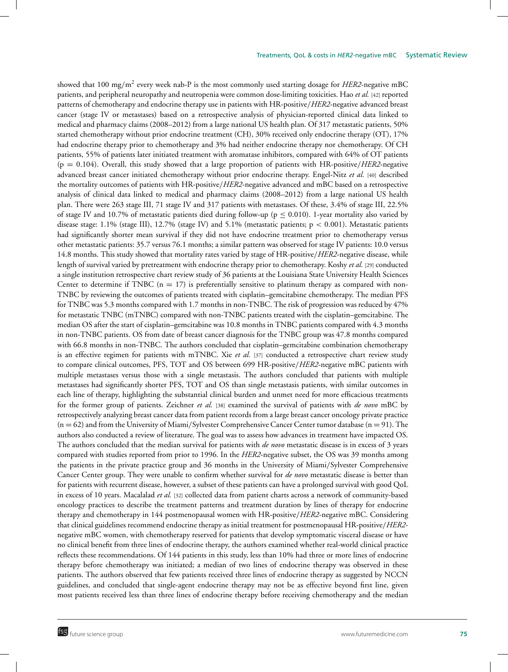showed that 100 mg/m<sup>2</sup> every week nab-P is the most commonly used starting dosage for *HER2*-negative mBC patients, and peripheral neuropathy and neutropenia were common dose-limiting toxicities. Hao *et al.* [42] reported patterns of chemotherapy and endocrine therapy use in patients with HR-positive/*HER2*-negative advanced breast cancer (stage IV or metastases) based on a retrospective analysis of physician-reported clinical data linked to medical and pharmacy claims (2008–2012) from a large national US health plan. Of 317 metastatic patients, 50% started chemotherapy without prior endocrine treatment (CH), 30% received only endocrine therapy (OT), 17% had endocrine therapy prior to chemotherapy and 3% had neither endocrine therapy nor chemotherapy. Of CH patients, 55% of patients later initiated treatment with aromatase inhibitors, compared with 64% of OT patients (p = 0.104). Overall, this study showed that a large proportion of patients with HR-positive/*HER2*-negative advanced breast cancer initiated chemotherapy without prior endocrine therapy. Engel-Nitz *et al.* [40] described the mortality outcomes of patients with HR-positive/*HER2*-negative advanced and mBC based on a retrospective analysis of clinical data linked to medical and pharmacy claims (2008–2012) from a large national US health plan. There were 263 stage III, 71 stage IV and 317 patients with metastases. Of these, 3.4% of stage III, 22.5% of stage IV and 10.7% of metastatic patients died during follow-up ( $p \le 0.010$ ). 1-year mortality also varied by disease stage: 1.1% (stage III), 12.7% (stage IV) and 5.1% (metastatic patients; p < 0.001). Metastatic patients had significantly shorter mean survival if they did not have endocrine treatment prior to chemotherapy versus other metastatic patients: 35.7 versus 76.1 months; a similar pattern was observed for stage IV patients: 10.0 versus 14.8 months. This study showed that mortality rates varied by stage of HR-positive/*HER2*-negative disease, while length of survival varied by pretreatment with endocrine therapy prior to chemotherapy. Koshy *et al.* [29] conducted a single institution retrospective chart review study of 36 patients at the Louisiana State University Health Sciences Center to determine if TNBC  $(n = 17)$  is preferentially sensitive to platinum therapy as compared with non-TNBC by reviewing the outcomes of patients treated with cisplatin–gemcitabine chemotherapy. The median PFS for TNBC was 5.3 months compared with 1.7 months in non-TNBC. The risk of progression was reduced by 47% for metastatic TNBC (mTNBC) compared with non-TNBC patients treated with the cisplatin–gemcitabine. The median OS after the start of cisplatin–gemcitabine was 10.8 months in TNBC patients compared with 4.3 months in non-TNBC patients. OS from date of breast cancer diagnosis for the TNBC group was 47.8 months compared with 66.8 months in non-TNBC. The authors concluded that cisplatin–gemcitabine combination chemotherapy is an effective regimen for patients with mTNBC. Xie *et al.* [37] conducted a retrospective chart review study to compare clinical outcomes, PFS, TOT and OS between 699 HR-positive/*HER2*-negative mBC patients with multiple metastases versus those with a single metastasis. The authors concluded that patients with multiple metastases had significantly shorter PFS, TOT and OS than single metastasis patients, with similar outcomes in each line of therapy, highlighting the substantial clinical burden and unmet need for more efficacious treatments for the former group of patients. Zeichner *et al.* [38] examined the survival of patients with *de novo* mBC by retrospectively analyzing breast cancer data from patient records from a large breast cancer oncology private practice  $(n = 62)$  and from the University of Miami/Sylvester Comprehensive Cancer Center tumor database  $(n = 91)$ . The authors also conducted a review of literature. The goal was to assess how advances in treatment have impacted OS. The authors concluded that the median survival for patients with *de novo* metastatic disease is in excess of 3 years compared with studies reported from prior to 1996. In the *HER2*-negative subset, the OS was 39 months among the patients in the private practice group and 36 months in the University of Miami/Sylvester Comprehensive Cancer Center group. They were unable to confirm whether survival for *de novo* metastatic disease is better than for patients with recurrent disease, however, a subset of these patients can have a prolonged survival with good QoL in excess of 10 years. Macalalad *et al.* [32] collected data from patient charts across a network of community-based oncology practices to describe the treatment patterns and treatment duration by lines of therapy for endocrine therapy and chemotherapy in 144 postmenopausal women with HR-positive/*HER2*-negative mBC. Considering that clinical guidelines recommend endocrine therapy as initial treatment for postmenopausal HR-positive/*HER2* negative mBC women, with chemotherapy reserved for patients that develop symptomatic visceral disease or have no clinical benefit from three lines of endocrine therapy, the authors examined whether real-world clinical practice reflects these recommendations. Of 144 patients in this study, less than 10% had three or more lines of endocrine therapy before chemotherapy was initiated; a median of two lines of endocrine therapy was observed in these patients. The authors observed that few patients received three lines of endocrine therapy as suggested by NCCN guidelines, and concluded that single-agent endocrine therapy may not be as effective beyond first line, given most patients received less than three lines of endocrine therapy before receiving chemotherapy and the median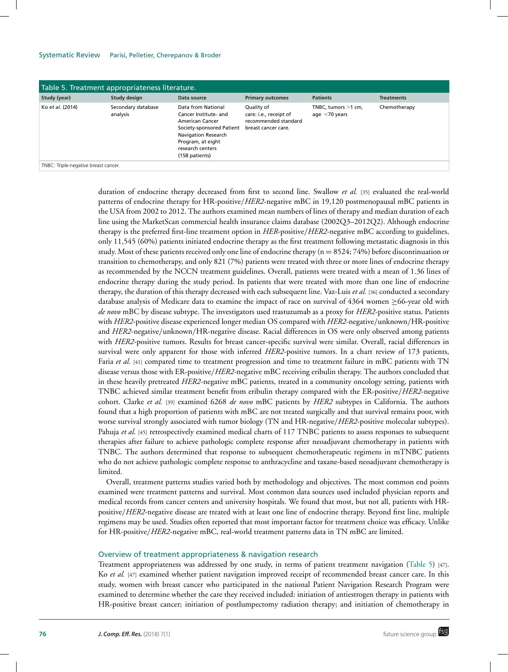| Table 5. Treatment appropriateness literature. |                                |                                                                                                                                                                                      |                                                                                     |                                           |                   |  |
|------------------------------------------------|--------------------------------|--------------------------------------------------------------------------------------------------------------------------------------------------------------------------------------|-------------------------------------------------------------------------------------|-------------------------------------------|-------------------|--|
| Study (year)                                   | Study design                   | Data source                                                                                                                                                                          | <b>Primary outcomes</b>                                                             | <b>Patients</b>                           | <b>Treatments</b> |  |
| Ko et al. (2014)                               | Secondary database<br>analysis | Data from National<br>Cancer Institute- and<br>American Cancer<br>Society-sponsored Patient<br><b>Navigation Research</b><br>Program, at eight<br>research centers<br>(158 patients) | Quality of<br>care: i.e., receipt of<br>recommended standard<br>breast cancer care. | TNBC, tumors $>1$ cm,<br>age $<$ 70 years | Chemotherapy      |  |
| TNBC: Triple-negative breast cancer.           |                                |                                                                                                                                                                                      |                                                                                     |                                           |                   |  |

duration of endocrine therapy decreased from first to second line. Swallow *et al.* [35] evaluated the real-world patterns of endocrine therapy for HR-positive/*HER2*-negative mBC in 19,120 postmenopausal mBC patients in the USA from 2002 to 2012. The authors examined mean numbers of lines of therapy and median duration of each line using the MarketScan commercial health insurance claims database (2002Q3–2012Q2). Although endocrine therapy is the preferred first-line treatment option in *HER*-positive/*HER2*-negative mBC according to guidelines, only 11,545 (60%) patients initiated endocrine therapy as the first treatment following metastatic diagnosis in this study. Most of these patients received only one line of endocrine therapy (n = 8524; 74%) before discontinuation or transition to chemotherapy, and only 821 (7%) patients were treated with three or more lines of endocrine therapy as recommended by the NCCN treatment guidelines. Overall, patients were treated with a mean of 1.36 lines of endocrine therapy during the study period. In patients that were treated with more than one line of endocrine therapy, the duration of this therapy decreased with each subsequent line. Vaz-Luis *et al.* [36] conducted a secondary database analysis of Medicare data to examine the impact of race on survival of 4364 women ≥66-year old with *de novo* mBC by disease subtype. The investigators used trastuzumab as a proxy for *HER2*-positive status. Patients with *HER2*-positive disease experienced longer median OS compared with *HER2*-negative/unknown/HR-positive and *HER2*-negative/unknown/HR-negative disease. Racial differences in OS were only observed among patients with *HER2*-positive tumors. Results for breast cancer-specific survival were similar. Overall, racial differences in survival were only apparent for those with inferred *HER2*-positive tumors. In a chart review of 173 patients, Faria *et al.* [41] compared time to treatment progression and time to treatment failure in mBC patients with TN disease versus those with ER-positive/*HER2*-negative mBC receiving eribulin therapy. The authors concluded that in these heavily pretreated *HER2*-negative mBC patients, treated in a community oncology setting, patients with TNBC achieved similar treatment benefit from eribulin therapy compared with the ER-positive/*HER2*-negative cohort. Clarke *et al.* [39] examined 6268 *de novo* mBC patients by *HER2* subtypes in California. The authors found that a high proportion of patients with mBC are not treated surgically and that survival remains poor, with worse survival strongly associated with tumor biology (TN and HR-negative/*HER2*-positive molecular subtypes). Pahuja *et al.* [45] retrospectively examined medical charts of 117 TNBC patients to assess responses to subsequent therapies after failure to achieve pathologic complete response after neoadjuvant chemotherapy in patients with TNBC. The authors determined that response to subsequent chemotherapeutic regimens in mTNBC patients who do not achieve pathologic complete response to anthracycline and taxane-based neoadjuvant chemotherapy is limited.

Overall, treatment patterns studies varied both by methodology and objectives. The most common end points examined were treatment patterns and survival. Most common data sources used included physician reports and medical records from cancer centers and university hospitals. We found that most, but not all, patients with HRpositive/*HER2*-negative disease are treated with at least one line of endocrine therapy. Beyond first line, multiple regimens may be used. Studies often reported that most important factor for treatment choice was efficacy. Unlike for HR-positive/*HER2*-negative mBC, real-world treatment patterns data in TN mBC are limited.

# Overview of treatment appropriateness & navigation research

Treatment appropriateness was addressed by one study, in terms of patient treatment navigation (Table 5) [47]. Ko *et al.* [47] examined whether patient navigation improved receipt of recommended breast cancer care. In this study, women with breast cancer who participated in the national Patient Navigation Research Program were examined to determine whether the care they received included: initiation of antiestrogen therapy in patients with HR-positive breast cancer; initiation of postlumpectomy radiation therapy; and initiation of chemotherapy in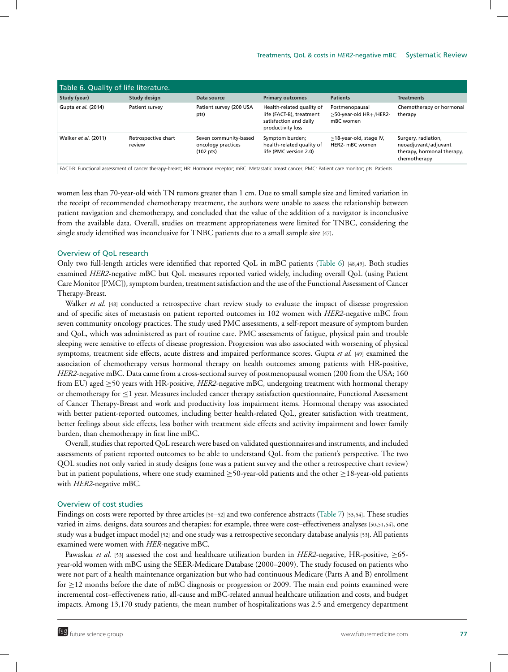| Table 6. Quality of life literature.                                                                                                                   |                               |                                                                    |                                                                                                      |                                                       |                                                                                           |  |
|--------------------------------------------------------------------------------------------------------------------------------------------------------|-------------------------------|--------------------------------------------------------------------|------------------------------------------------------------------------------------------------------|-------------------------------------------------------|-------------------------------------------------------------------------------------------|--|
| Study (year)                                                                                                                                           | Study design                  | Data source                                                        | <b>Primary outcomes</b>                                                                              | <b>Patients</b>                                       | <b>Treatments</b>                                                                         |  |
| Gupta et al. (2014)                                                                                                                                    | Patient survey                | Patient survey (200 USA<br>pts)                                    | Health-related quality of<br>life (FACT-B), treatment<br>satisfaction and daily<br>productivity loss | Postmenopausal<br>>50-year-old HR+/HER2-<br>mBC women | Chemotherapy or hormonal<br>therapy                                                       |  |
| Walker et al. (2011)                                                                                                                                   | Retrospective chart<br>review | Seven community-based<br>oncology practices<br>$(102 \text{ pts})$ | Symptom burden;<br>health-related quality of<br>life (PMC version 2.0)                               | $\geq$ 18-year-old, stage IV,<br>HER2- mBC women      | Surgery, radiation,<br>neoadjuvant/adjuvant<br>therapy, hormonal therapy,<br>chemotherapy |  |
| FACT-B: Functional assessment of cancer therapy-breast; HR: Hormone receptor; mBC: Metastatic breast cancer; PMC: Patient care monitor; pts: Patients. |                               |                                                                    |                                                                                                      |                                                       |                                                                                           |  |

women less than 70-year-old with TN tumors greater than 1 cm. Due to small sample size and limited variation in the receipt of recommended chemotherapy treatment, the authors were unable to assess the relationship between patient navigation and chemotherapy, and concluded that the value of the addition of a navigator is inconclusive from the available data. Overall, studies on treatment appropriateness were limited for TNBC, considering the single study identified was inconclusive for TNBC patients due to a small sample size [47].

### Overview of QoL research

Only two full-length articles were identified that reported QoL in mBC patients (Table 6) [48,49]. Both studies examined *HER2*-negative mBC but QoL measures reported varied widely, including overall QoL (using Patient Care Monitor [PMC]), symptom burden, treatment satisfaction and the use of the Functional Assessment of Cancer Therapy-Breast.

Walker *et al.* [48] conducted a retrospective chart review study to evaluate the impact of disease progression and of specific sites of metastasis on patient reported outcomes in 102 women with *HER2*-negative mBC from seven community oncology practices. The study used PMC assessments, a self-report measure of symptom burden and QoL, which was administered as part of routine care. PMC assessments of fatigue, physical pain and trouble sleeping were sensitive to effects of disease progression. Progression was also associated with worsening of physical symptoms, treatment side effects, acute distress and impaired performance scores. Gupta *et al.* [49] examined the association of chemotherapy versus hormonal therapy on health outcomes among patients with HR-positive, *HER2*-negative mBC. Data came from a cross-sectional survey of postmenopausal women (200 from the USA; 160 from EU) aged ≥50 years with HR-positive, *HER2*-negative mBC, undergoing treatment with hormonal therapy or chemotherapy for ≤1 year. Measures included cancer therapy satisfaction questionnaire, Functional Assessment of Cancer Therapy-Breast and work and productivity loss impairment items. Hormonal therapy was associated with better patient-reported outcomes, including better health-related QoL, greater satisfaction with treatment, better feelings about side effects, less bother with treatment side effects and activity impairment and lower family burden, than chemotherapy in first line mBC.

Overall, studies that reported QoL research were based on validated questionnaires and instruments, and included assessments of patient reported outcomes to be able to understand QoL from the patient's perspective. The two QOL studies not only varied in study designs (one was a patient survey and the other a retrospective chart review) but in patient populations, where one study examined ≥50-year-old patients and the other ≥18-year-old patients with *HER2*-negative mBC.

# Overview of cost studies

Findings on costs were reported by three articles [50–52] and two conference abstracts (Table 7) [53,54]. These studies varied in aims, designs, data sources and therapies: for example, three were cost–effectiveness analyses [50,51,54], one study was a budget impact model [52] and one study was a retrospective secondary database analysis [53]. All patients examined were women with *HER*-negative mBC.

Pawaskar *et al.* [53] assessed the cost and healthcare utilization burden in *HER2*-negative, HR-positive, ≥65 year-old women with mBC using the SEER-Medicare Database (2000–2009). The study focused on patients who were not part of a health maintenance organization but who had continuous Medicare (Parts A and B) enrollment for ≥12 months before the date of mBC diagnosis or progression or 2009. The main end points examined were incremental cost–effectiveness ratio, all-cause and mBC-related annual healthcare utilization and costs, and budget impacts. Among 13,170 study patients, the mean number of hospitalizations was 2.5 and emergency department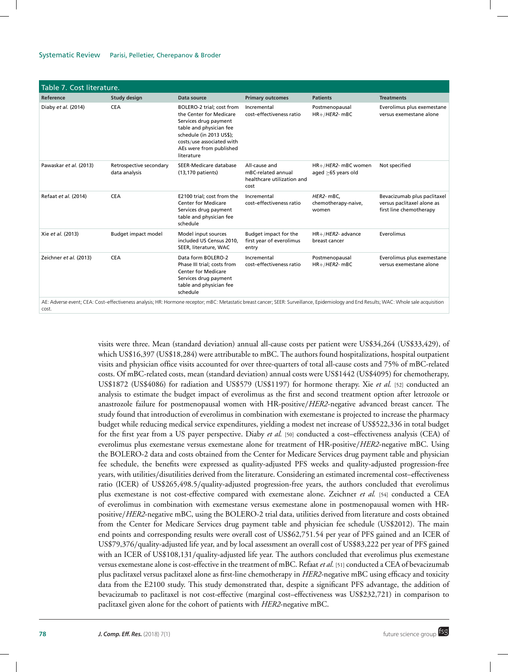### Systematic Review Parisi, Pelletier, Cherepanov & Broder

| Table 7. Cost literature.                                                                                                                                                                        |                                          |                                                                                                                                                                                                            |                                                                           |                                            |                                                                                      |  |
|--------------------------------------------------------------------------------------------------------------------------------------------------------------------------------------------------|------------------------------------------|------------------------------------------------------------------------------------------------------------------------------------------------------------------------------------------------------------|---------------------------------------------------------------------------|--------------------------------------------|--------------------------------------------------------------------------------------|--|
| Reference                                                                                                                                                                                        | Study design                             | Data source                                                                                                                                                                                                | <b>Primary outcomes</b>                                                   | <b>Patients</b>                            | <b>Treatments</b>                                                                    |  |
| Diaby et al. (2014)                                                                                                                                                                              | <b>CEA</b>                               | BOLERO-2 trial; cost from<br>the Center for Medicare<br>Services drug payment<br>table and physician fee<br>schedule (in 2013 US\$);<br>costs/use associated with<br>AEs were from published<br>literature | Incremental<br>cost-effectiveness ratio                                   | Postmenopausal<br>$HR+ / HER2$ - mBC       | Everolimus plus exemestane<br>versus exemestane alone                                |  |
| Pawaskar et al. (2013)                                                                                                                                                                           | Retrospective secondary<br>data analysis | SEER-Medicare database<br>(13,170 patients)                                                                                                                                                                | All-cause and<br>mBC-related annual<br>healthcare utilization and<br>cost | HR+/HER2- mBC women<br>aged >65 years old  | Not specified                                                                        |  |
| Refaat et al. (2014)                                                                                                                                                                             | <b>CEA</b>                               | E2100 trial; cost from the<br><b>Center for Medicare</b><br>Services drug payment<br>table and physician fee<br>schedule                                                                                   | Incremental<br>cost-effectiveness ratio                                   | HER2- mBC,<br>chemotherapy-naive,<br>women | Bevacizumab plus paclitaxel<br>versus paclitaxel alone as<br>first line chemotherapy |  |
| Xie et al. (2013)                                                                                                                                                                                | Budget impact model                      | Model input sources<br>included US Census 2010,<br>SEER, literature, WAC                                                                                                                                   | Budget impact for the<br>first year of everolimus<br>entry                | $HR+ / HER2$ - advance<br>breast cancer    | Everolimus                                                                           |  |
| Zeichner et al. (2013)                                                                                                                                                                           | <b>CEA</b>                               | Data form BOLERO-2<br>Phase III trial; costs from<br><b>Center for Medicare</b><br>Services drug payment<br>table and physician fee<br>schedule                                                            | Incremental<br>cost-effectiveness ratio                                   | Postmenopausal<br>$HR+ / HER2$ - mBC       | Everolimus plus exemestane<br>versus exemestane alone                                |  |
| AE: Adverse event; CEA: Cost-effectiveness analysis; HR: Hormone receptor; mBC: Metastatic breast cancer; SEER: Surveillance, Epidemiology and End Results; WAC: Whole sale acquisition<br>cost. |                                          |                                                                                                                                                                                                            |                                                                           |                                            |                                                                                      |  |

visits were three. Mean (standard deviation) annual all-cause costs per patient were US\$34,264 (US\$33,429), of which US\$16,397 (US\$18,284) were attributable to mBC. The authors found hospitalizations, hospital outpatient visits and physician office visits accounted for over three-quarters of total all-cause costs and 75% of mBC-related costs. Of mBC-related costs, mean (standard deviation) annual costs were US\$1442 (US\$4095) for chemotherapy, US\$1872 (US\$4086) for radiation and US\$579 (US\$1197) for hormone therapy. Xie *et al.* [52] conducted an analysis to estimate the budget impact of everolimus as the first and second treatment option after letrozole or anastrozole failure for postmenopausal women with HR-positive/*HER2*-negative advanced breast cancer. The study found that introduction of everolimus in combination with exemestane is projected to increase the pharmacy budget while reducing medical service expenditures, yielding a modest net increase of US\$522,336 in total budget for the first year from a US payer perspective. Diaby *et al.* [50] conducted a cost–effectiveness analysis (CEA) of everolimus plus exemestane versus exemestane alone for treatment of HR-positive/*HER2*-negative mBC. Using the BOLERO-2 data and costs obtained from the Center for Medicare Services drug payment table and physician fee schedule, the benefits were expressed as quality-adjusted PFS weeks and quality-adjusted progression-free years, with utilities/disutilities derived from the literature. Considering an estimated incremental cost–effectiveness ratio (ICER) of US\$265,498.5/quality-adjusted progression-free years, the authors concluded that everolimus plus exemestane is not cost-effective compared with exemestane alone. Zeichner *et al.* [54] conducted a CEA of everolimus in combination with exemestane versus exemestane alone in postmenopausal women with HRpositive/*HER2*-negative mBC, using the BOLERO-2 trial data, utilities derived from literature and costs obtained from the Center for Medicare Services drug payment table and physician fee schedule (US\$2012). The main end points and corresponding results were overall cost of US\$62,751.54 per year of PFS gained and an ICER of US\$79,376/quality-adjusted life year, and by local assessment an overall cost of US\$83,222 per year of PFS gained with an ICER of US\$108,131/quality-adjusted life year. The authors concluded that everolimus plus exemestane versus exemestane alone is cost-effective in the treatment of mBC. Refaat *et al.* [51] conducted a CEA of bevacizumab plus paclitaxel versus paclitaxel alone as first-line chemotherapy in *HER2*-negative mBC using efficacy and toxicity data from the E2100 study. This study demonstrated that, despite a significant PFS advantage, the addition of bevacizumab to paclitaxel is not cost-effective (marginal cost–effectiveness was US\$232,721) in comparison to paclitaxel given alone for the cohort of patients with *HER2*-negative mBC.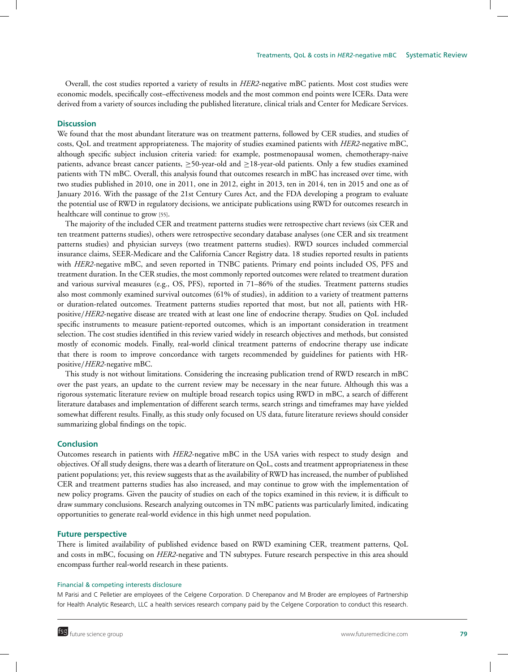Overall, the cost studies reported a variety of results in *HER2*-negative mBC patients. Most cost studies were economic models, specifically cost–effectiveness models and the most common end points were ICERs. Data were derived from a variety of sources including the published literature, clinical trials and Center for Medicare Services.

## **Discussion**

We found that the most abundant literature was on treatment patterns, followed by CER studies, and studies of costs, QoL and treatment appropriateness. The majority of studies examined patients with *HER2*-negative mBC, although specific subject inclusion criteria varied: for example, postmenopausal women, chemotherapy-naive patients, advance breast cancer patients, ≥50-year-old and ≥18-year-old patients. Only a few studies examined patients with TN mBC. Overall, this analysis found that outcomes research in mBC has increased over time, with two studies published in 2010, one in 2011, one in 2012, eight in 2013, ten in 2014, ten in 2015 and one as of January 2016. With the passage of the 21st Century Cures Act, and the FDA developing a program to evaluate the potential use of RWD in regulatory decisions, we anticipate publications using RWD for outcomes research in healthcare will continue to grow [55].

The majority of the included CER and treatment patterns studies were retrospective chart reviews (six CER and ten treatment patterns studies), others were retrospective secondary database analyses (one CER and six treatment patterns studies) and physician surveys (two treatment patterns studies). RWD sources included commercial insurance claims, SEER-Medicare and the California Cancer Registry data. 18 studies reported results in patients with *HER2*-negative mBC, and seven reported in TNBC patients. Primary end points included OS, PFS and treatment duration. In the CER studies, the most commonly reported outcomes were related to treatment duration and various survival measures (e.g., OS, PFS), reported in 71–86% of the studies. Treatment patterns studies also most commonly examined survival outcomes (61% of studies), in addition to a variety of treatment patterns or duration-related outcomes. Treatment patterns studies reported that most, but not all, patients with HRpositive/*HER2*-negative disease are treated with at least one line of endocrine therapy. Studies on QoL included specific instruments to measure patient-reported outcomes, which is an important consideration in treatment selection. The cost studies identified in this review varied widely in research objectives and methods, but consisted mostly of economic models. Finally, real-world clinical treatment patterns of endocrine therapy use indicate that there is room to improve concordance with targets recommended by guidelines for patients with HRpositive/*HER2*-negative mBC.

This study is not without limitations. Considering the increasing publication trend of RWD research in mBC over the past years, an update to the current review may be necessary in the near future. Although this was a rigorous systematic literature review on multiple broad research topics using RWD in mBC, a search of different literature databases and implementation of different search terms, search strings and timeframes may have yielded somewhat different results. Finally, as this study only focused on US data, future literature reviews should consider summarizing global findings on the topic.

#### **Conclusion**

Outcomes research in patients with *HER2*-negative mBC in the USA varies with respect to study design and objectives. Of all study designs, there was a dearth of literature on QoL, costs and treatment appropriateness in these patient populations; yet, this review suggests that as the availability of RWD has increased, the number of published CER and treatment patterns studies has also increased, and may continue to grow with the implementation of new policy programs. Given the paucity of studies on each of the topics examined in this review, it is difficult to draw summary conclusions. Research analyzing outcomes in TN mBC patients was particularly limited, indicating opportunities to generate real-world evidence in this high unmet need population.

# **Future perspective**

There is limited availability of published evidence based on RWD examining CER, treatment patterns, QoL and costs in mBC, focusing on *HER2*-negative and TN subtypes. Future research perspective in this area should encompass further real-world research in these patients.

#### Financial & competing interests disclosure

M Parisi and C Pelletier are employees of the Celgene Corporation. D Cherepanov and M Broder are employees of Partnership for Health Analytic Research, LLC a health services research company paid by the Celgene Corporation to conduct this research.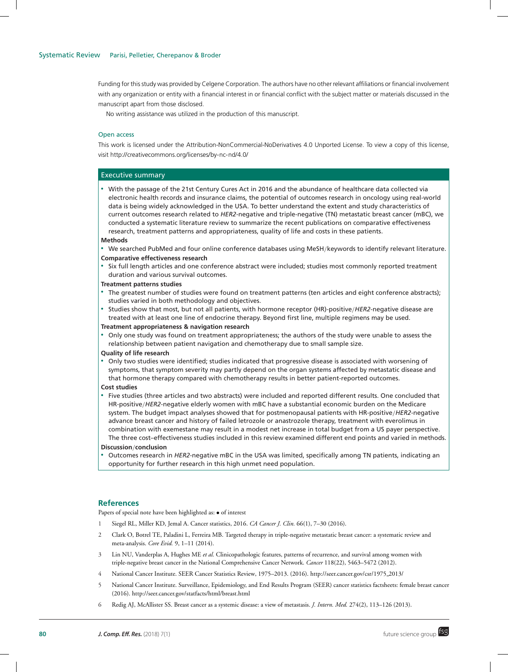Funding for this study was provided by Celgene Corporation. The authors have no other relevant affiliations or financial involvement with any organization or entity with a financial interest in or financial conflict with the subject matter or materials discussed in the manuscript apart from those disclosed.

No writing assistance was utilized in the production of this manuscript.

# Open access

This work is licensed under the Attribution-NonCommercial-NoDerivatives 4.0 Unported License. To view a copy of this license, visit http://creativecommons.org/licenses/by-nc-nd/4.0/

#### Executive summary

- With the passage of the 21st Century Cures Act in 2016 and the abundance of healthcare data collected via electronic health records and insurance claims, the potential of outcomes research in oncology using real-world data is being widely acknowledged in the USA. To better understand the extent and study characteristics of current outcomes research related to *HER2*-negative and triple-negative (TN) metastatic breast cancer (mBC), we conducted a systematic literature review to summarize the recent publications on comparative effectiveness research, treatment patterns and appropriateness, quality of life and costs in these patients.

#### **Methods**

- **We searched PubMed and four online conference databases using MeSH/keywords to identify relevant literature. Comparative effectiveness research**
- Six full length articles and one conference abstract were included; studies most commonly reported treatment duration and various survival outcomes.

#### **Treatment patterns studies**

- The greatest number of studies were found on treatment patterns (ten articles and eight conference abstracts); studies varied in both methodology and objectives.
- **Studies show that most, but not all patients, with hormone receptor (HR)-positive/HER2-negative disease are** treated with at least one line of endocrine therapy. Beyond first line, multiple regimens may be used.

#### **Treatment appropriateness & navigation research**

- - Only one study was found on treatment appropriateness; the authors of the study were unable to assess the relationship between patient navigation and chemotherapy due to small sample size.
- **Quality of life research**
- - Only two studies were identified; studies indicated that progressive disease is associated with worsening of symptoms, that symptom severity may partly depend on the organ systems affected by metastatic disease and that hormone therapy compared with chemotherapy results in better patient-reported outcomes.
- **Cost studies**
- - Five studies (three articles and two abstracts) were included and reported different results. One concluded that HR-positive/*HER2*-negative elderly women with mBC have a substantial economic burden on the Medicare system. The budget impact analyses showed that for postmenopausal patients with HR-positive/*HER2*-negative advance breast cancer and history of failed letrozole or anastrozole therapy, treatment with everolimus in combination with exemestane may result in a modest net increase in total budget from a US payer perspective. The three cost–effectiveness studies included in this review examined different end points and varied in methods.

#### **Discussion**/**conclusion**

- Outcomes research in *HER2*-negative mBC in the USA was limited, specifically among TN patients, indicating an opportunity for further research in this high unmet need population.

# **References**

Papers of special note have been highlighted as: • of interest

- 1 Siegel RL, Miller KD, Jemal A. Cancer statistics, 2016. *CA Cancer J. Clin.* 66(1), 7–30 (2016).
- 2 Clark O, Botrel TE, Paladini L, Ferreira MB. Targeted therapy in triple-negative metastatic breast cancer: a systematic review and meta-analysis. *Core Evid.* 9, 1–11 (2014).
- 3 Lin NU, Vanderplas A, Hughes ME *et al.* Clinicopathologic features, patterns of recurrence, and survival among women with triple-negative breast cancer in the National Comprehensive Cancer Network. *Cancer* 118(22), 5463–5472 (2012).
- 4 National Cancer Institute. SEER Cancer Statistics Review, 1975–2013. (2016). http://seer.cancer.gov/csr/1975 2013/
- 5 National Cancer Institute. Surveillance, Epidemiology, and End Results Program (SEER) cancer statistics factsheets: female breast cancer (2016). http://seer.cancer.gov/statfacts/html/breast.html
- 6 Redig AJ, McAllister SS. Breast cancer as a systemic disease: a view of metastasis. *J. Intern. Med.* 274(2), 113–126 (2013).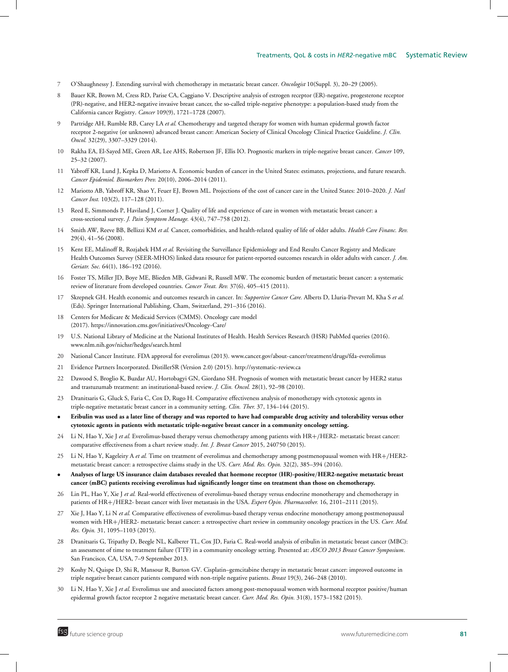- 7 O'Shaughnessy J. Extending survival with chemotherapy in metastatic breast cancer. *Oncologist* 10(Suppl. 3), 20–29 (2005).
- 8 Bauer KR, Brown M, Cress RD, Parise CA, Caggiano V. Descriptive analysis of estrogen receptor (ER)-negative, progesterone receptor (PR)-negative, and HER2-negative invasive breast cancer, the so-called triple-negative phenotype: a population-based study from the California cancer Registry. *Cancer* 109(9), 1721–1728 (2007).
- 9 Partridge AH, Rumble RB, Carey LA *et al.* Chemotherapy and targeted therapy for women with human epidermal growth factor receptor 2-negative (or unknown) advanced breast cancer: American Society of Clinical Oncology Clinical Practice Guideline. *J. Clin. Oncol.* 32(29), 3307–3329 (2014).
- 10 Rakha EA, El-Sayed ME, Green AR, Lee AHS, Robertson JF, Ellis IO. Prognostic markers in triple-negative breast cancer. *Cancer* 109, 25–32 (2007).
- 11 Yabroff KR, Lund J, Kepka D, Mariotto A. Economic burden of cancer in the United States: estimates, projections, and future research. *Cancer Epidemiol. Biomarkers Prev.* 20(10), 2006–2014 (2011).
- 12 Mariotto AB, Yabroff KR, Shao Y, Feuer EJ, Brown ML. Projections of the cost of cancer care in the United States: 2010–2020. *J. Natl Cancer Inst.* 103(2), 117–128 (2011).
- 13 Reed E, Simmonds P, Haviland J, Corner J. Quality of life and experience of care in women with metastatic breast cancer: a cross-sectional survey. *J. Pain Symptom Manage.* 43(4), 747–758 (2012).
- 14 Smith AW, Reeve BB, Bellizzi KM *et al.* Cancer, comorbidities, and health-related quality of life of older adults. *Health Care Financ. Rev.* 29(4), 41–56 (2008).
- 15 Kent EE, Malinoff R, Rozjabek HM *et al.* Revisiting the Surveillance Epidemiology and End Results Cancer Registry and Medicare Health Outcomes Survey (SEER-MHOS) linked data resource for patient-reported outcomes research in older adults with cancer. *J. Am. Geriatr. Soc.* 64(1), 186–192 (2016).
- 16 Foster TS, Miller JD, Boye ME, Blieden MB, Gidwani R, Russell MW. The economic burden of metastatic breast cancer: a systematic review of literature from developed countries. *Cancer Treat. Rev.* 37(6), 405–415 (2011).
- 17 Skrepnek GH. Health economic and outcomes research in cancer. In: *Supportive Cancer Care.* Alberts D, Lluria-Prevatt M, Kha S *et al.* (Eds). Springer International Publishing, Cham, Switzerland, 291–316 (2016).
- 18 Centers for Medicare & Medicaid Services (CMMS). Oncology care model (2017). https://innovation.cms.gov/initiatives/Oncology-Care/
- 19 U.S. National Library of Medicine at the National Institutes of Health. Health Services Research (HSR) PubMed queries (2016). www.nlm.nih.gov/nichsr/hedges/search.html
- 20 National Cancer Institute. FDA approval for everolimus (2013). www.cancer.gov/about-cancer/treatment/drugs/fda-everolimus
- 21 Evidence Partners Incorporated. DistillerSR (Version 2.0) (2015). http://systematic-review.ca
- 22 Dawood S, Broglio K, Buzdar AU, Hortobagyi GN, Giordano SH. Prognosis of women with metastatic breast cancer by HER2 status and trastuzumab treatment: an institutional-based review. *J. Clin. Oncol.* 28(1), 92–98 (2010).
- 23 Dranitsaris G, Gluck S, Faria C, Cox D, Rugo H. Comparative effectiveness analysis of monotherapy with cytotoxic agents in triple-negative metastatic breast cancer in a community setting. *Clin. Ther.* 37, 134–144 (2015).
- **Eribulin was used as a later line of therapy and was reported to have had comparable drug activity and tolerability versus other cytotoxic agents in patients with metastatic triple-negative breast cancer in a community oncology setting.**
- 24 Li N, Hao Y, Xie J *et al.* Everolimus-based therapy versus chemotherapy among patients with HR+/HER2- metastatic breast cancer: comparative effectiveness from a chart review study. *Int. J. Breast Cancer* 2015, 240750 (2015).
- 25 Li N, Hao Y, Kageleiry A *et al.* Time on treatment of everolimus and chemotherapy among postmenopausal women with HR+/HER2 metastatic breast cancer: a retrospective claims study in the US. *Curr. Med. Res. Opin.* 32(2), 385–394 (2016).
- **Analyses of large US insurance claim databases revealed that hormone receptor (HR)-positive**/**HER2-negative metastatic breast cancer (mBC) patients receiving everolimus had significantly longer time on treatment than those on chemotherapy.**
- 26 Lin PL, Hao Y, Xie J *et al.* Real-world effectiveness of everolimus-based therapy versus endocrine monotherapy and chemotherapy in patients of HR+/HER2- breast cancer with liver metastasis in the USA. *Expert Opin. Pharmacother.* 16, 2101–2111 (2015).
- 27 Xie J, Hao Y, Li N *et al.* Comparative effectiveness of everolimus-based therapy versus endocrine monotherapy among postmenopausal women with HR+/HER2- metastatic breast cancer: a retrospective chart review in community oncology practices in the US. *Curr. Med. Res. Opin.* 31, 1095–1103 (2015).
- 28 Dranitsaris G, Tripathy D, Beegle NL, Kalberer TL, Cox JD, Faria C. Real-world analysis of eribulin in metastatic breast cancer (MBC): an assessment of time to treatment failure (TTF) in a community oncology setting. Presented at: *ASCO 2013 Breast Cancer Symposium*. San Francisco, CA, USA, 7–9 September 2013.
- 29 Koshy N, Quispe D, Shi R, Mansour R, Burton GV. Cisplatin–gemcitabine therapy in metastatic breast cancer: improved outcome in triple negative breast cancer patients compared with non-triple negative patients. *Breast* 19(3), 246–248 (2010).
- 30 Li N, Hao Y, Xie J *et al.* Everolimus use and associated factors among post-menopausal women with hormonal receptor positive/human epidermal growth factor receptor 2 negative metastatic breast cancer. *Curr. Med. Res. Opin.* 31(8), 1573–1582 (2015).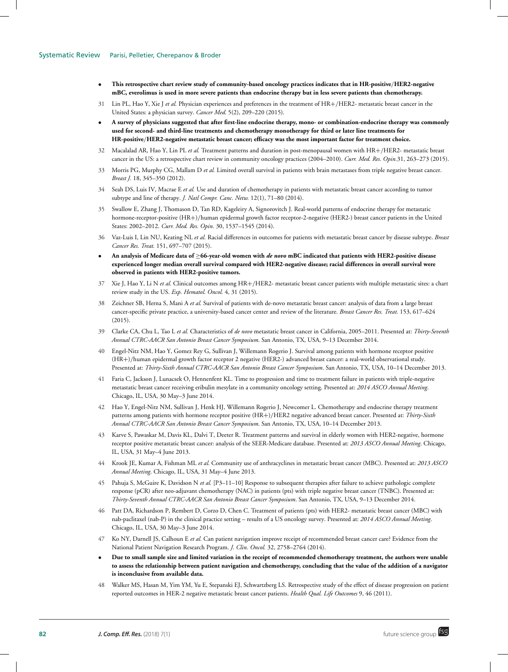- **This retrospective chart review study of community-based oncology practices indicates that in HR-positive**/**HER2-negative mBC, everolimus is used in more severe patients than endocrine therapy but in less severe patients than chemotherapy.**
- 31 Lin PL, Hao Y, Xie J *et al.* Physician experiences and preferences in the treatment of HR+/HER2- metastatic breast cancer in the United States: a physician survey. *Cancer Med.* 5(2), 209–220 (2015).
- **A survey of physicians suggested that after first-line endocrine therapy, mono- or combination-endocrine therapy was commonly used for second- and third-line treatments and chemotherapy monotherapy for third or later line treatments for HR-positive**/**HER2-negative metastatic breast cancer; efficacy was the most important factor for treatment choice.**
- 32 Macalalad AR, Hao Y, Lin PL *et al.* Treatment patterns and duration in post-menopausal women with HR+/HER2- metastatic breast cancer in the US: a retrospective chart review in community oncology practices (2004–2010). *Curr. Med. Res. Opin.*31, 263–273 (2015).
- 33 Morris PG, Murphy CG, Mallam D *et al.* Limited overall survival in patients with brain metastases from triple negative breast cancer. *Breast J.* 18, 345–350 (2012).
- 34 Seah DS, Luis IV, Macrae E *et al.* Use and duration of chemotherapy in patients with metastatic breast cancer according to tumor subtype and line of therapy. *J. Natl Compr. Canc. Netw.* 12(1), 71–80 (2014).
- 35 Swallow E, Zhang J, Thomason D, Tan RD, Kageleiry A, Signorovitch J. Real-world patterns of endocrine therapy for metastatic hormone-receptor-positive (HR+)/human epidermal growth factor receptor-2-negative (HER2-) breast cancer patients in the United States: 2002–2012. *Curr. Med. Res. Opin.* 30, 1537–1545 (2014).
- 36 Vaz-Luis I, Lin NU, Keating NL *et al.* Racial differences in outcomes for patients with metastatic breast cancer by disease subtype. *Breast Cancer Res. Treat.* 151, 697–707 (2015).
- **An analysis of Medicare data of** ≥**66-year-old women with** *de novo* **mBC indicated that patients with HER2-positive disease experienced longer median overall survival compared with HER2-negative disease; racial differences in overall survival were observed in patients with HER2-positive tumors.**
- 37 Xie J, Hao Y, Li N *et al.* Clinical outcomes among HR+/HER2- metastatic breast cancer patients with multiple metastatic sites: a chart review study in the US. *Exp. Hematol. Oncol.* 4, 31 (2015).
- 38 Zeichner SB, Herna S, Mani A *et al.* Survival of patients with de-novo metastatic breast cancer: analysis of data from a large breast cancer-specific private practice, a university-based cancer center and review of the literature. *Breast Cancer Res. Treat.* 153, 617–624  $(2015).$
- 39 Clarke CA, Chu L, Tao L *et al.* Characteristics of *de novo* metastatic breast cancer in California, 2005–2011. Presented at: *Thirty-Seventh Annual CTRC-AACR San Antonio Breast Cancer Symposium*. San Antonio, TX, USA, 9–13 December 2014.
- 40 Engel-Nitz NM, Hao Y, Gomez Rey G, Sullivan J, Willemann Rogerio J. Survival among patients with hormone receptor positive (HR+)/human epidermal growth factor receptor 2 negative (HER2-) advanced breast cancer: a real-world observational study. Presented at: *Thirty-Sixth Annual CTRC-AACR San Antonio Breast Cancer Symposium*. San Antonio, TX, USA, 10–14 December 2013.
- 41 Faria C, Jackson J, Lunacsek O, Hennenfent KL. Time to progression and time to treatment failure in patients with triple-negative metastatic breast cancer receiving eribulin mesylate in a community oncology setting. Presented at: *2014 ASCO Annual Meeting*. Chicago, IL, USA, 30 May–3 June 2014.
- 42 Hao Y, Engel-Nitz NM, Sullivan J, Henk HJ, Willemann Rogerio J, Newcomer L. Chemotherapy and endocrine therapy treatment patterns among patients with hormone receptor positive (HR+)/HER2 negative advanced breast cancer. Presented at: *Thirty-Sixth Annual CTRC-AACR San Antonio Breast Cancer Symposium*. San Antonio, TX, USA, 10–14 December 2013.
- 43 Karve S, Pawaskar M, Davis KL, Dalvi T, Deeter R. Treatment patterns and survival in elderly women with HER2-negative, hormone receptor positive metastatic breast cancer: analysis of the SEER-Medicare database. Presented at: *2013 ASCO Annual Meeting*. Chicago, IL, USA, 31 May–4 June 2013.
- 44 Krook JE, Kumar A, Fishman ML *et al.* Community use of anthracyclines in metastatic breast cancer (MBC). Presented at: *2013 ASCO Annual Meeting*. Chicago, IL, USA, 31 May–4 June 2013.
- 45 Pahuja S, McGuire K, Davidson N *et al.* [P3–11–10] Response to subsequent therapies after failure to achieve pathologic complete response (pCR) after neo-adjuvant chemotherapy (NAC) in patients (pts) with triple negative breast cancer (TNBC). Presented at: *Thirty-Seventh Annual CTRC-AACR San Antonio Breast Cancer Symposium*. San Antonio, TX, USA, 9–13 December 2014.
- 46 Patt DA, Richardson P, Rembert D, Corzo D, Chen C. Treatment of patients (pts) with HER2- metastatic breast cancer (MBC) with nab-paclitaxel (nab-P) in the clinical practice setting – results of a US oncology survey. Presented at: *2014 ASCO Annual Meeting*. Chicago, IL, USA, 30 May–3 June 2014.
- 47 Ko NY, Darnell JS, Calhoun E *et al.* Can patient navigation improve receipt of recommended breast cancer care? Evidence from the National Patient Navigation Research Program. *J. Clin. Oncol.* 32, 2758–2764 (2014).
- **Due to small sample size and limited variation in the receipt of recommended chemotherapy treatment, the authors were unable to assess the relationship between patient navigation and chemotherapy, concluding that the value of the addition of a navigator is inconclusive from available data.**
- 48 Walker MS, Hasan M, Yim YM, Yu E, Stepanski EJ, Schwartzberg LS. Retrospective study of the effect of disease progression on patient reported outcomes in HER-2 negative metastatic breast cancer patients. *Health Qual. Life Outcomes* 9, 46 (2011).